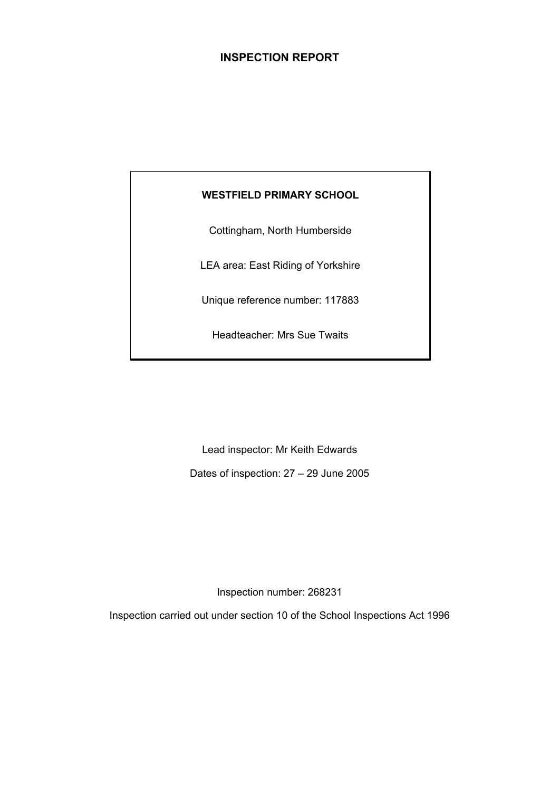# **INSPECTION REPORT**

# **WESTFIELD PRIMARY SCHOOL**

Cottingham, North Humberside

LEA area: East Riding of Yorkshire

Unique reference number: 117883

Headteacher: Mrs Sue Twaits

Lead inspector: Mr Keith Edwards

Dates of inspection: 27 – 29 June 2005

Inspection number: 268231

Inspection carried out under section 10 of the School Inspections Act 1996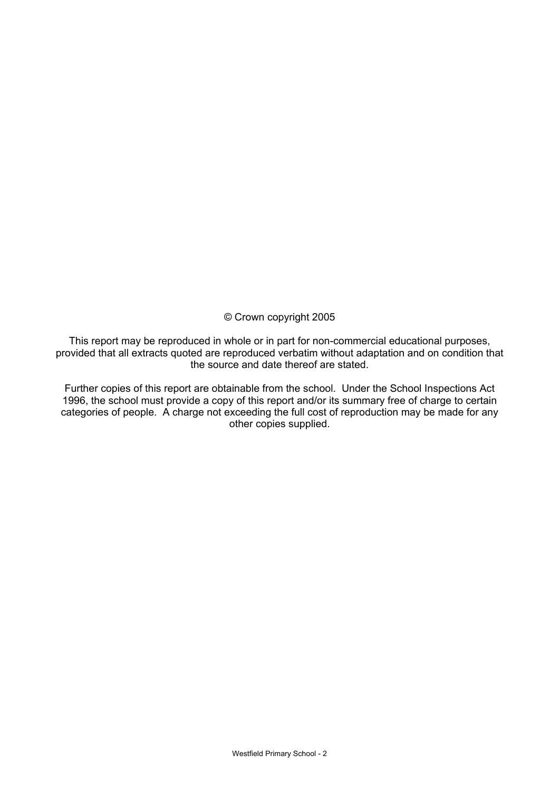© Crown copyright 2005

This report may be reproduced in whole or in part for non-commercial educational purposes, provided that all extracts quoted are reproduced verbatim without adaptation and on condition that the source and date thereof are stated.

Further copies of this report are obtainable from the school. Under the School Inspections Act 1996, the school must provide a copy of this report and/or its summary free of charge to certain categories of people. A charge not exceeding the full cost of reproduction may be made for any other copies supplied.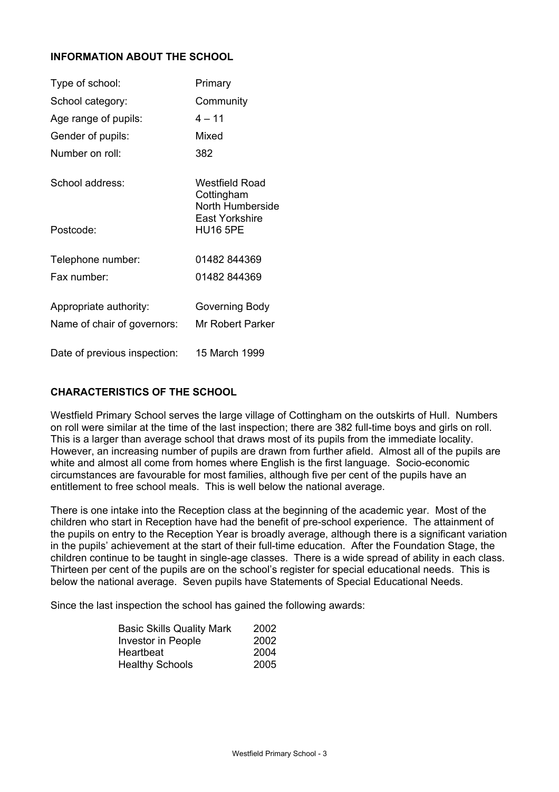# **INFORMATION ABOUT THE SCHOOL**

| Type of school:                                       | Primary                                          |
|-------------------------------------------------------|--------------------------------------------------|
| School category:                                      | Community                                        |
| Age range of pupils:                                  | $4 - 11$                                         |
| Gender of pupils:                                     | Mixed                                            |
| Number on roll:                                       | 382                                              |
| School address:                                       | Westfield Road<br>Cottingham<br>North Humberside |
| Postcode:                                             | <b>East Yorkshire</b><br><b>HU16 5PE</b>         |
| Telephone number:                                     | 01482 844369                                     |
| Fax number:                                           | 01482 844369                                     |
| Appropriate authority:<br>Name of chair of governors: | Governing Body<br>Mr Robert Parker               |
| Date of previous inspection:                          | 15 March 1999                                    |

# **CHARACTERISTICS OF THE SCHOOL**

Westfield Primary School serves the large village of Cottingham on the outskirts of Hull. Numbers on roll were similar at the time of the last inspection; there are 382 full-time boys and girls on roll. This is a larger than average school that draws most of its pupils from the immediate locality. However, an increasing number of pupils are drawn from further afield. Almost all of the pupils are white and almost all come from homes where English is the first language. Socio-economic circumstances are favourable for most families, although five per cent of the pupils have an entitlement to free school meals. This is well below the national average.

There is one intake into the Reception class at the beginning of the academic year. Most of the children who start in Reception have had the benefit of pre-school experience. The attainment of the pupils on entry to the Reception Year is broadly average, although there is a significant variation in the pupils' achievement at the start of their full-time education. After the Foundation Stage, the children continue to be taught in single-age classes. There is a wide spread of ability in each class. Thirteen per cent of the pupils are on the school's register for special educational needs. This is below the national average. Seven pupils have Statements of Special Educational Needs.

Since the last inspection the school has gained the following awards:

| <b>Basic Skills Quality Mark</b> | 2002 |
|----------------------------------|------|
| Investor in People               | 2002 |
| Heartbeat                        | 2004 |
| <b>Healthy Schools</b>           | 2005 |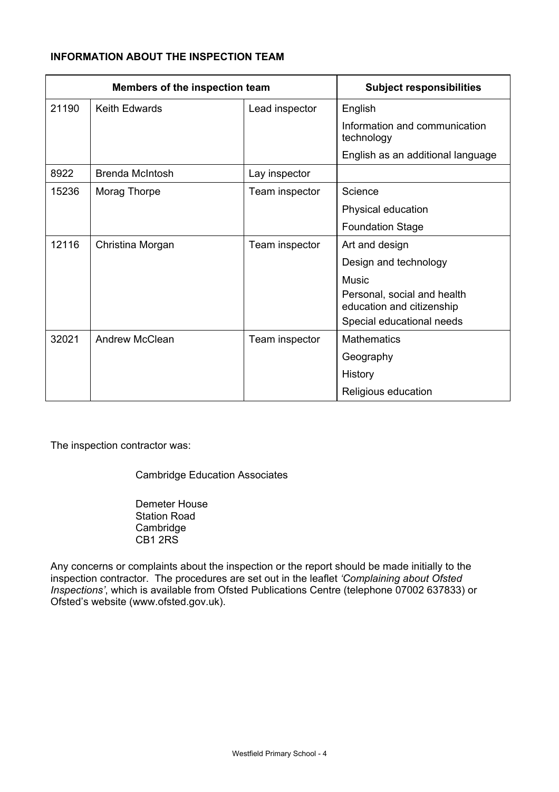# **INFORMATION ABOUT THE INSPECTION TEAM**

| Members of the inspection team |                        | <b>Subject responsibilities</b> |                                                          |
|--------------------------------|------------------------|---------------------------------|----------------------------------------------------------|
| 21190                          | Keith Edwards          | Lead inspector                  | English                                                  |
|                                |                        |                                 | Information and communication<br>technology              |
|                                |                        |                                 | English as an additional language                        |
| 8922                           | <b>Brenda McIntosh</b> | Lay inspector                   |                                                          |
| 15236                          | Morag Thorpe           | Team inspector                  | Science                                                  |
|                                |                        |                                 | Physical education                                       |
|                                |                        |                                 | <b>Foundation Stage</b>                                  |
| 12116                          | Christina Morgan       | Team inspector                  | Art and design                                           |
|                                |                        |                                 | Design and technology                                    |
|                                |                        |                                 | Music                                                    |
|                                |                        |                                 | Personal, social and health<br>education and citizenship |
|                                |                        |                                 | Special educational needs                                |
| 32021                          | <b>Andrew McClean</b>  | Team inspector                  | <b>Mathematics</b>                                       |
|                                |                        |                                 | Geography                                                |
|                                |                        |                                 | History                                                  |
|                                |                        |                                 | Religious education                                      |

The inspection contractor was:

Cambridge Education Associates

 Demeter House Station Road Cambridge CB1 2RS

Any concerns or complaints about the inspection or the report should be made initially to the inspection contractor. The procedures are set out in the leaflet *'Complaining about Ofsted Inspections'*, which is available from Ofsted Publications Centre (telephone 07002 637833) or Ofsted's website (www.ofsted.gov.uk).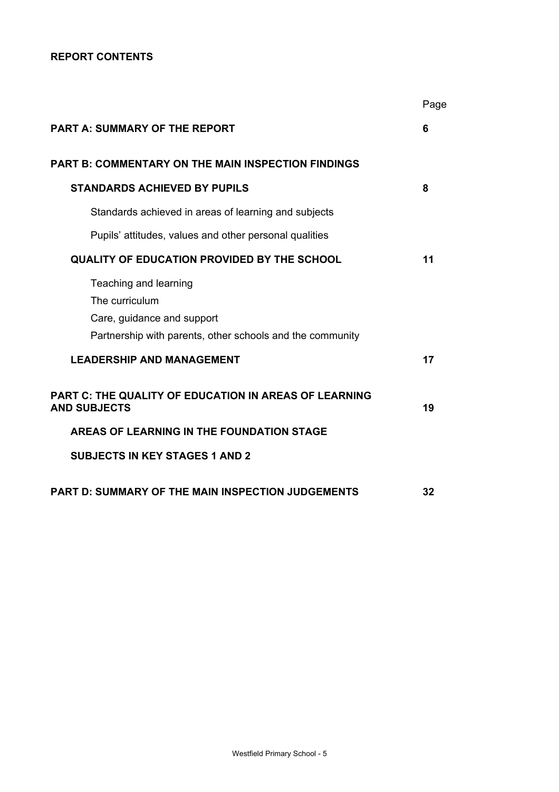# **REPORT CONTENTS**

|                                                                                                                                    | Page |
|------------------------------------------------------------------------------------------------------------------------------------|------|
| <b>PART A: SUMMARY OF THE REPORT</b>                                                                                               | 6    |
| <b>PART B: COMMENTARY ON THE MAIN INSPECTION FINDINGS</b>                                                                          |      |
| <b>STANDARDS ACHIEVED BY PUPILS</b>                                                                                                | 8    |
| Standards achieved in areas of learning and subjects                                                                               |      |
| Pupils' attitudes, values and other personal qualities                                                                             |      |
| <b>QUALITY OF EDUCATION PROVIDED BY THE SCHOOL</b>                                                                                 | 11   |
| Teaching and learning<br>The curriculum<br>Care, guidance and support<br>Partnership with parents, other schools and the community |      |
| <b>LEADERSHIP AND MANAGEMENT</b>                                                                                                   | 17   |
| PART C: THE QUALITY OF EDUCATION IN AREAS OF LEARNING<br><b>AND SUBJECTS</b>                                                       | 19   |
| AREAS OF LEARNING IN THE FOUNDATION STAGE                                                                                          |      |
| <b>SUBJECTS IN KEY STAGES 1 AND 2</b>                                                                                              |      |
| <b>PART D: SUMMARY OF THE MAIN INSPECTION JUDGEMENTS</b>                                                                           | 32   |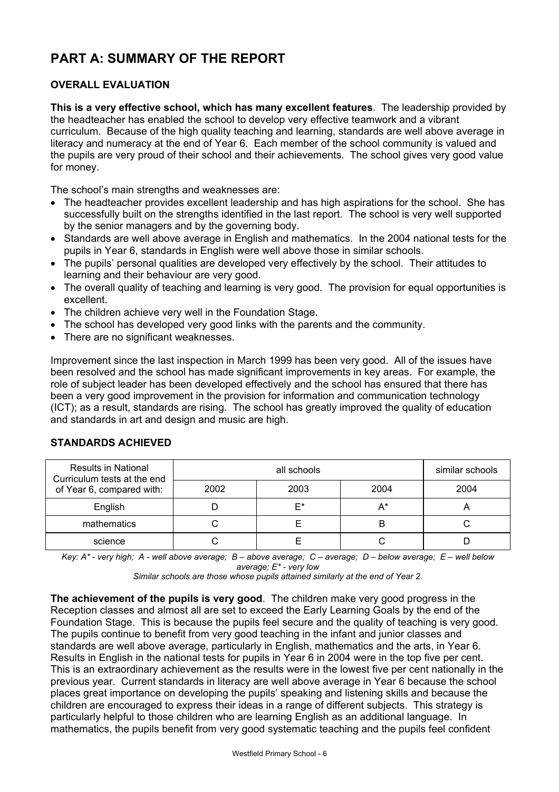# **PART A: SUMMARY OF THE REPORT**

# **OVERALL EVALUATION**

**This is a very effective school, which has many excellent features**. The leadership provided by the headteacher has enabled the school to develop very effective teamwork and a vibrant curriculum. Because of the high quality teaching and learning, standards are well above average in literacy and numeracy at the end of Year 6. Each member of the school community is valued and the pupils are very proud of their school and their achievements. The school gives very good value for money.

The school's main strengths and weaknesses are:

- The headteacher provides excellent leadership and has high aspirations for the school. She has successfully built on the strengths identified in the last report. The school is very well supported by the senior managers and by the governing body.
- Standards are well above average in English and mathematics. In the 2004 national tests for the pupils in Year 6, standards in English were well above those in similar schools.
- The pupils' personal qualities are developed very effectively by the school. Their attitudes to learning and their behaviour are very good.
- The overall quality of teaching and learning is very good. The provision for equal opportunities is excellent.
- The children achieve very well in the Foundation Stage.
- The school has developed very good links with the parents and the community.
- There are no significant weaknesses.

Improvement since the last inspection in March 1999 has been very good. All of the issues have been resolved and the school has made significant improvements in key areas. For example, the role of subject leader has been developed effectively and the school has ensured that there has been a very good improvement in the provision for information and communication technology (ICT); as a result, standards are rising. The school has greatly improved the quality of education and standards in art and design and music are high.

| <b>Results in National</b><br>Curriculum tests at the end | all schools |      |      | similar schools |
|-----------------------------------------------------------|-------------|------|------|-----------------|
| of Year 6, compared with:                                 | 2002        | 2004 | 2004 |                 |
| English                                                   |             | F*   | A*   |                 |
| mathematics                                               |             |      | B    |                 |
| science                                                   |             |      |      |                 |

# **STANDARDS ACHIEVED**

*Key: A\* - very high; A - well above average; B – above average; C – average; D – below average; E – well below average; E\* - very low* 

*Similar schools are those whose pupils attained similarly at the end of Year 2.* 

**The achievement of the pupils is very good**. The children make very good progress in the Reception classes and almost all are set to exceed the Early Learning Goals by the end of the Foundation Stage. This is because the pupils feel secure and the quality of teaching is very good. The pupils continue to benefit from very good teaching in the infant and junior classes and standards are well above average, particularly in English, mathematics and the arts, in Year 6. Results in English in the national tests for pupils in Year 6 in 2004 were in the top five per cent. This is an extraordinary achievement as the results were in the lowest five per cent nationally in the previous year. Current standards in literacy are well above average in Year 6 because the school places great importance on developing the pupils' speaking and listening skills and because the children are encouraged to express their ideas in a range of different subjects. This strategy is particularly helpful to those children who are learning English as an additional language. In mathematics, the pupils benefit from very good systematic teaching and the pupils feel confident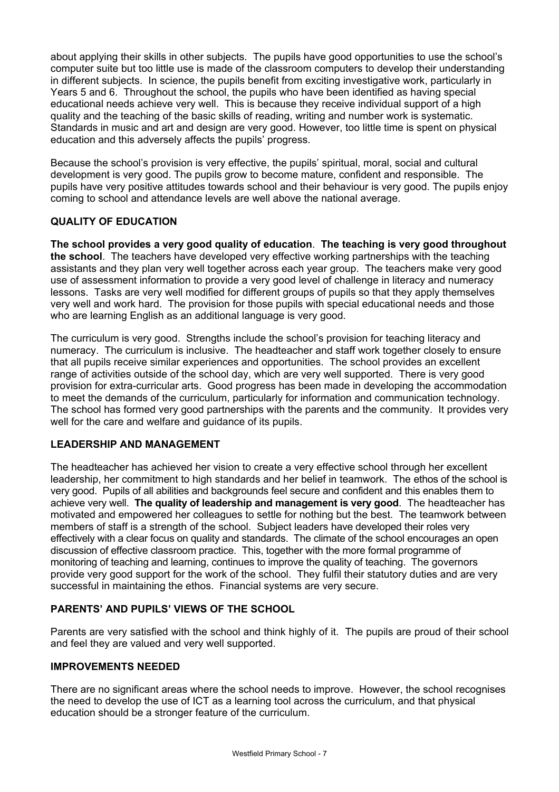about applying their skills in other subjects. The pupils have good opportunities to use the school's computer suite but too little use is made of the classroom computers to develop their understanding in different subjects. In science, the pupils benefit from exciting investigative work, particularly in Years 5 and 6. Throughout the school, the pupils who have been identified as having special educational needs achieve very well. This is because they receive individual support of a high quality and the teaching of the basic skills of reading, writing and number work is systematic. Standards in music and art and design are very good. However, too little time is spent on physical education and this adversely affects the pupils' progress.

Because the school's provision is very effective, the pupils' spiritual, moral, social and cultural development is very good. The pupils grow to become mature, confident and responsible. The pupils have very positive attitudes towards school and their behaviour is very good. The pupils enjoy coming to school and attendance levels are well above the national average.

# **QUALITY OF EDUCATION**

**The school provides a very good quality of education**. **The teaching is very good throughout the school**. The teachers have developed very effective working partnerships with the teaching assistants and they plan very well together across each year group. The teachers make very good use of assessment information to provide a very good level of challenge in literacy and numeracy lessons. Tasks are very well modified for different groups of pupils so that they apply themselves very well and work hard. The provision for those pupils with special educational needs and those who are learning English as an additional language is very good.

The curriculum is very good. Strengths include the school's provision for teaching literacy and numeracy. The curriculum is inclusive. The headteacher and staff work together closely to ensure that all pupils receive similar experiences and opportunities. The school provides an excellent range of activities outside of the school day, which are very well supported. There is very good provision for extra-curricular arts. Good progress has been made in developing the accommodation to meet the demands of the curriculum, particularly for information and communication technology. The school has formed very good partnerships with the parents and the community. It provides very well for the care and welfare and guidance of its pupils.

# **LEADERSHIP AND MANAGEMENT**

The headteacher has achieved her vision to create a very effective school through her excellent leadership, her commitment to high standards and her belief in teamwork. The ethos of the school is very good. Pupils of all abilities and backgrounds feel secure and confident and this enables them to achieve very well. **The quality of leadership and management is very good**. The headteacher has motivated and empowered her colleagues to settle for nothing but the best. The teamwork between members of staff is a strength of the school. Subject leaders have developed their roles very effectively with a clear focus on quality and standards. The climate of the school encourages an open discussion of effective classroom practice. This, together with the more formal programme of monitoring of teaching and learning, continues to improve the quality of teaching. The governors provide very good support for the work of the school. They fulfil their statutory duties and are very successful in maintaining the ethos. Financial systems are very secure.

# **PARENTS' AND PUPILS' VIEWS OF THE SCHOOL**

Parents are very satisfied with the school and think highly of it. The pupils are proud of their school and feel they are valued and very well supported.

# **IMPROVEMENTS NEEDED**

There are no significant areas where the school needs to improve. However, the school recognises the need to develop the use of ICT as a learning tool across the curriculum, and that physical education should be a stronger feature of the curriculum.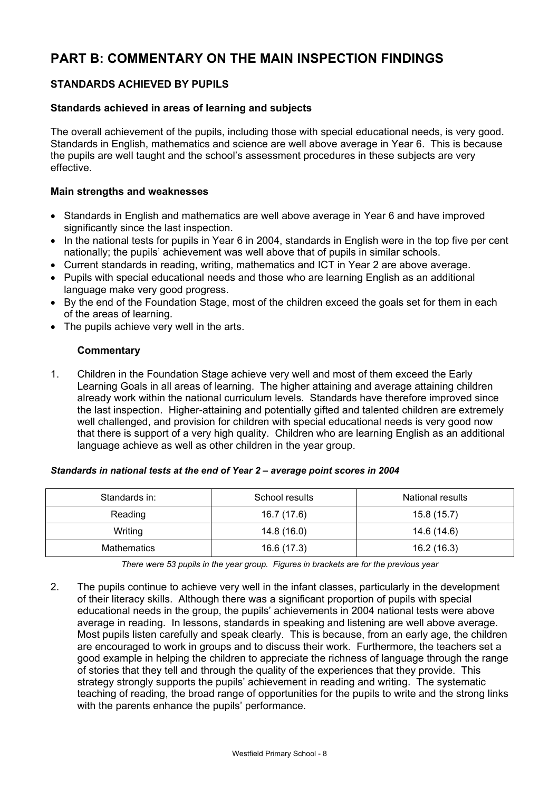# **PART B: COMMENTARY ON THE MAIN INSPECTION FINDINGS**

# **STANDARDS ACHIEVED BY PUPILS**

#### **Standards achieved in areas of learning and subjects**

The overall achievement of the pupils, including those with special educational needs, is very good. Standards in English, mathematics and science are well above average in Year 6. This is because the pupils are well taught and the school's assessment procedures in these subjects are very effective.

### **Main strengths and weaknesses**

- Standards in English and mathematics are well above average in Year 6 and have improved significantly since the last inspection.
- In the national tests for pupils in Year 6 in 2004, standards in English were in the top five per cent nationally; the pupils' achievement was well above that of pupils in similar schools.
- Current standards in reading, writing, mathematics and ICT in Year 2 are above average.
- Pupils with special educational needs and those who are learning English as an additional language make very good progress.
- By the end of the Foundation Stage, most of the children exceed the goals set for them in each of the areas of learning.
- The pupils achieve very well in the arts.

### **Commentary**

1. Children in the Foundation Stage achieve very well and most of them exceed the Early Learning Goals in all areas of learning. The higher attaining and average attaining children already work within the national curriculum levels. Standards have therefore improved since the last inspection. Higher-attaining and potentially gifted and talented children are extremely well challenged, and provision for children with special educational needs is very good now that there is support of a very high quality. Children who are learning English as an additional language achieve as well as other children in the year group.

#### *Standards in national tests at the end of Year 2 – average point scores in 2004*

| Standards in:      | School results | National results |
|--------------------|----------------|------------------|
| Reading            | 16.7 (17.6)    | 15.8(15.7)       |
| Writing            | 14.8 (16.0)    | 14.6 (14.6)      |
| <b>Mathematics</b> | 16.6 (17.3)    | 16.2 (16.3)      |

*There were 53 pupils in the year group. Figures in brackets are for the previous year* 

2. The pupils continue to achieve very well in the infant classes, particularly in the development of their literacy skills. Although there was a significant proportion of pupils with special educational needs in the group, the pupils' achievements in 2004 national tests were above average in reading. In lessons, standards in speaking and listening are well above average. Most pupils listen carefully and speak clearly. This is because, from an early age, the children are encouraged to work in groups and to discuss their work. Furthermore, the teachers set a good example in helping the children to appreciate the richness of language through the range of stories that they tell and through the quality of the experiences that they provide. This strategy strongly supports the pupils' achievement in reading and writing. The systematic teaching of reading, the broad range of opportunities for the pupils to write and the strong links with the parents enhance the pupils' performance.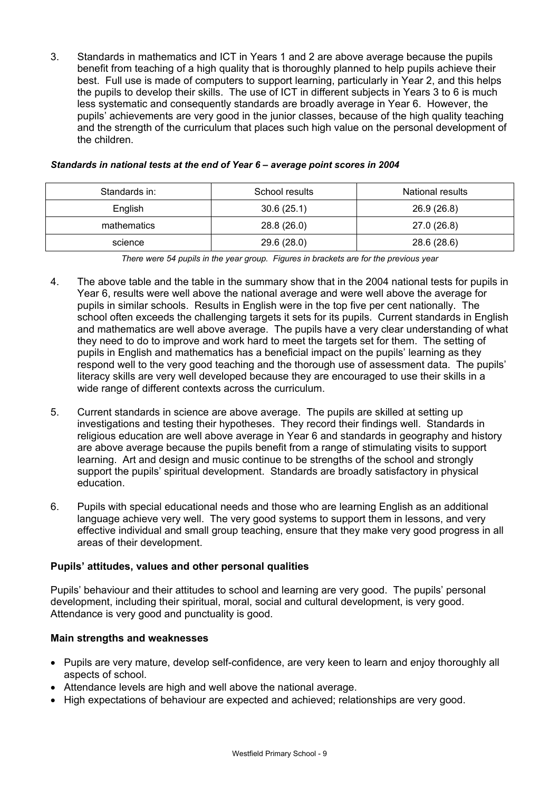3. Standards in mathematics and ICT in Years 1 and 2 are above average because the pupils benefit from teaching of a high quality that is thoroughly planned to help pupils achieve their best. Full use is made of computers to support learning, particularly in Year 2, and this helps the pupils to develop their skills. The use of ICT in different subjects in Years 3 to 6 is much less systematic and consequently standards are broadly average in Year 6. However, the pupils' achievements are very good in the junior classes, because of the high quality teaching and the strength of the curriculum that places such high value on the personal development of the children.

| Standards in: | School results | National results |
|---------------|----------------|------------------|
| English       | 30.6(25.1)     | 26.9 (26.8)      |
| mathematics   | 28.8 (26.0)    | 27.0 (26.8)      |
| science       | 29.6 (28.0)    | 28.6 (28.6)      |

#### *Standards in national tests at the end of Year 6 – average point scores in 2004*

*There were 54 pupils in the year group. Figures in brackets are for the previous year* 

- 4. The above table and the table in the summary show that in the 2004 national tests for pupils in Year 6, results were well above the national average and were well above the average for pupils in similar schools. Results in English were in the top five per cent nationally. The school often exceeds the challenging targets it sets for its pupils. Current standards in English and mathematics are well above average. The pupils have a very clear understanding of what they need to do to improve and work hard to meet the targets set for them. The setting of pupils in English and mathematics has a beneficial impact on the pupils' learning as they respond well to the very good teaching and the thorough use of assessment data. The pupils' literacy skills are very well developed because they are encouraged to use their skills in a wide range of different contexts across the curriculum.
- 5. Current standards in science are above average. The pupils are skilled at setting up investigations and testing their hypotheses. They record their findings well. Standards in religious education are well above average in Year 6 and standards in geography and history are above average because the pupils benefit from a range of stimulating visits to support learning. Art and design and music continue to be strengths of the school and strongly support the pupils' spiritual development. Standards are broadly satisfactory in physical education.
- 6. Pupils with special educational needs and those who are learning English as an additional language achieve very well. The very good systems to support them in lessons, and very effective individual and small group teaching, ensure that they make very good progress in all areas of their development.

#### **Pupils' attitudes, values and other personal qualities**

Pupils' behaviour and their attitudes to school and learning are very good. The pupils' personal development, including their spiritual, moral, social and cultural development, is very good. Attendance is very good and punctuality is good.

#### **Main strengths and weaknesses**

- Pupils are very mature, develop self-confidence, are very keen to learn and enjoy thoroughly all aspects of school.
- Attendance levels are high and well above the national average.
- High expectations of behaviour are expected and achieved; relationships are very good.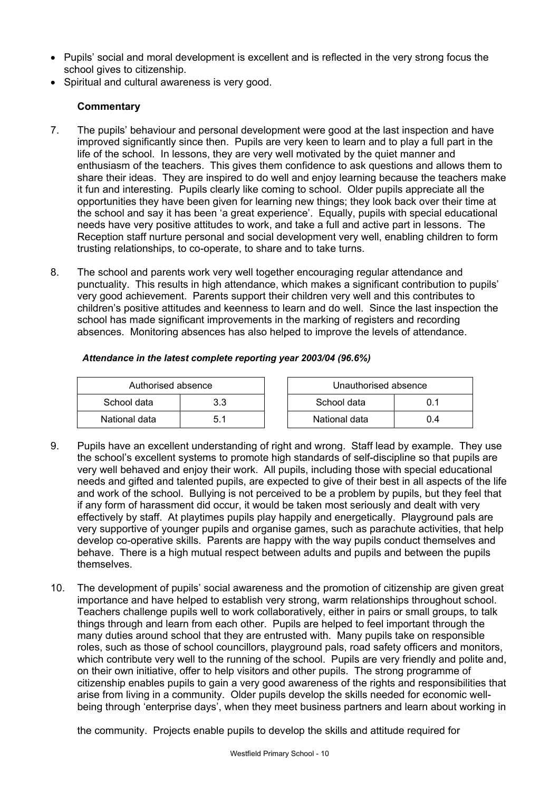- Pupils' social and moral development is excellent and is reflected in the very strong focus the school gives to citizenship.
- Spiritual and cultural awareness is very good.

# **Commentary**

- 7. The pupils' behaviour and personal development were good at the last inspection and have improved significantly since then. Pupils are very keen to learn and to play a full part in the life of the school. In lessons, they are very well motivated by the quiet manner and enthusiasm of the teachers. This gives them confidence to ask questions and allows them to share their ideas. They are inspired to do well and enjoy learning because the teachers make it fun and interesting. Pupils clearly like coming to school. Older pupils appreciate all the opportunities they have been given for learning new things; they look back over their time at the school and say it has been 'a great experience'. Equally, pupils with special educational needs have very positive attitudes to work, and take a full and active part in lessons. The Reception staff nurture personal and social development very well, enabling children to form trusting relationships, to co-operate, to share and to take turns.
- 8. The school and parents work very well together encouraging regular attendance and punctuality. This results in high attendance, which makes a significant contribution to pupils' very good achievement. Parents support their children very well and this contributes to children's positive attitudes and keenness to learn and do well. Since the last inspection the school has made significant improvements in the marking of registers and recording absences. Monitoring absences has also helped to improve the levels of attendance.

| Authorised absence |     | Unauthorised absence |     |
|--------------------|-----|----------------------|-----|
| School data        | 3.3 | School data          | 0.1 |
| National data      | 5.1 | National data        | 0.4 |

### *Attendance in the latest complete reporting year 2003/04 (96.6%)*

- 9. Pupils have an excellent understanding of right and wrong. Staff lead by example. They use the school's excellent systems to promote high standards of self-discipline so that pupils are very well behaved and enjoy their work. All pupils, including those with special educational needs and gifted and talented pupils, are expected to give of their best in all aspects of the life and work of the school. Bullying is not perceived to be a problem by pupils, but they feel that if any form of harassment did occur, it would be taken most seriously and dealt with very effectively by staff. At playtimes pupils play happily and energetically. Playground pals are very supportive of younger pupils and organise games, such as parachute activities, that help develop co-operative skills. Parents are happy with the way pupils conduct themselves and behave. There is a high mutual respect between adults and pupils and between the pupils themselves.
- 10. The development of pupils' social awareness and the promotion of citizenship are given great importance and have helped to establish very strong, warm relationships throughout school. Teachers challenge pupils well to work collaboratively, either in pairs or small groups, to talk things through and learn from each other. Pupils are helped to feel important through the many duties around school that they are entrusted with. Many pupils take on responsible roles, such as those of school councillors, playground pals, road safety officers and monitors, which contribute very well to the running of the school. Pupils are very friendly and polite and, on their own initiative, offer to help visitors and other pupils. The strong programme of citizenship enables pupils to gain a very good awareness of the rights and responsibilities that arise from living in a community. Older pupils develop the skills needed for economic wellbeing through 'enterprise days', when they meet business partners and learn about working in

the community. Projects enable pupils to develop the skills and attitude required for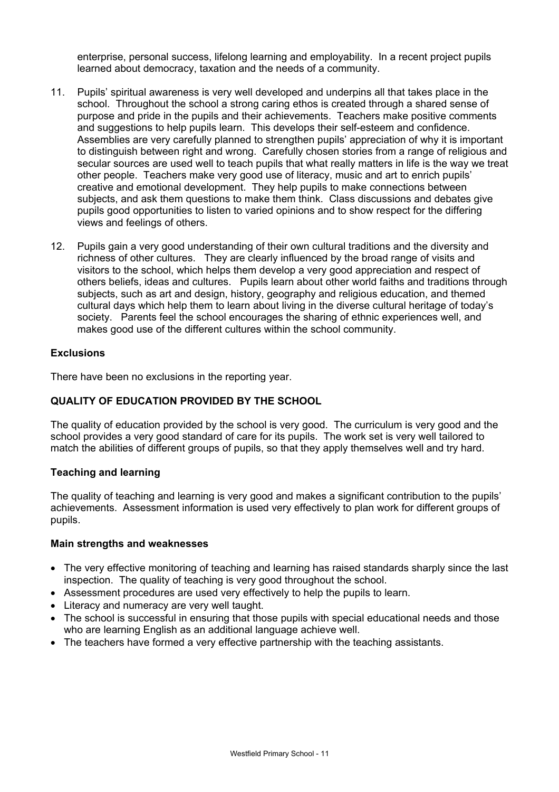enterprise, personal success, lifelong learning and employability. In a recent project pupils learned about democracy, taxation and the needs of a community.

- 11. Pupils' spiritual awareness is very well developed and underpins all that takes place in the school. Throughout the school a strong caring ethos is created through a shared sense of purpose and pride in the pupils and their achievements. Teachers make positive comments and suggestions to help pupils learn. This develops their self-esteem and confidence. Assemblies are very carefully planned to strengthen pupils' appreciation of why it is important to distinguish between right and wrong. Carefully chosen stories from a range of religious and secular sources are used well to teach pupils that what really matters in life is the way we treat other people. Teachers make very good use of literacy, music and art to enrich pupils' creative and emotional development. They help pupils to make connections between subjects, and ask them questions to make them think. Class discussions and debates give pupils good opportunities to listen to varied opinions and to show respect for the differing views and feelings of others.
- 12. Pupils gain a very good understanding of their own cultural traditions and the diversity and richness of other cultures. They are clearly influenced by the broad range of visits and visitors to the school, which helps them develop a very good appreciation and respect of others beliefs, ideas and cultures. Pupils learn about other world faiths and traditions through subjects, such as art and design, history, geography and religious education, and themed cultural days which help them to learn about living in the diverse cultural heritage of today's society. Parents feel the school encourages the sharing of ethnic experiences well, and makes good use of the different cultures within the school community.

# **Exclusions**

There have been no exclusions in the reporting year.

# **QUALITY OF EDUCATION PROVIDED BY THE SCHOOL**

The quality of education provided by the school is very good.The curriculum is very good and the school provides a very good standard of care for its pupils. The work set is very well tailored to match the abilities of different groups of pupils, so that they apply themselves well and try hard.

# **Teaching and learning**

The quality of teaching and learning is very good and makes a significant contribution to the pupils' achievements. Assessment information is used very effectively to plan work for different groups of pupils.

#### **Main strengths and weaknesses**

- The very effective monitoring of teaching and learning has raised standards sharply since the last inspection. The quality of teaching is very good throughout the school.
- Assessment procedures are used very effectively to help the pupils to learn.
- Literacy and numeracy are very well taught.
- The school is successful in ensuring that those pupils with special educational needs and those who are learning English as an additional language achieve well.
- The teachers have formed a very effective partnership with the teaching assistants.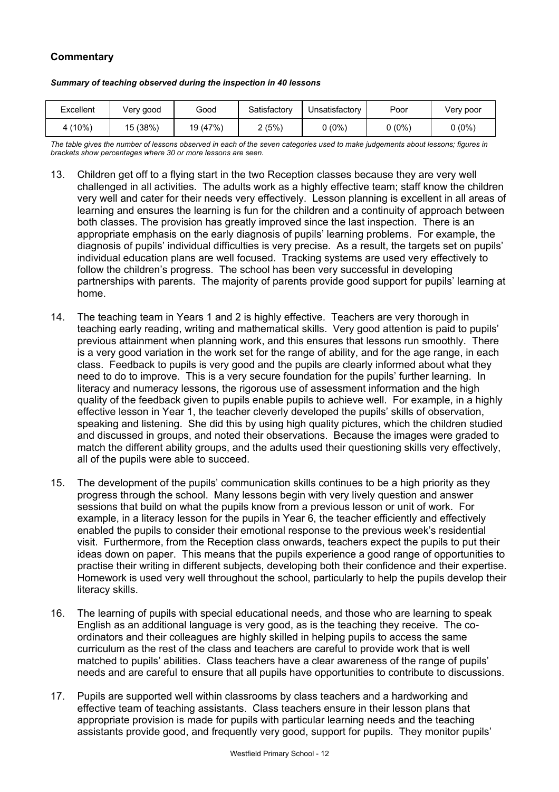# **Commentary**

#### *Summary of teaching observed during the inspection in 40 lessons*

| Excellent | Verv good | Good     | Satisfactory | Unsatisfactory | Poor    | Verv poor |
|-----------|-----------|----------|--------------|----------------|---------|-----------|
| 4 (10%)   | 15 (38%)  | 19 (47%) | 2(5%)        | $0(0\%)$       | $(0\%)$ | 0 (0%)    |

*The table gives the number of lessons observed in each of the seven categories used to make judgements about lessons; figures in brackets show percentages where 30 or more lessons are seen.* 

- 13. Children get off to a flying start in the two Reception classes because they are very well challenged in all activities. The adults work as a highly effective team; staff know the children very well and cater for their needs very effectively. Lesson planning is excellent in all areas of learning and ensures the learning is fun for the children and a continuity of approach between both classes. The provision has greatly improved since the last inspection. There is an appropriate emphasis on the early diagnosis of pupils' learning problems. For example, the diagnosis of pupils' individual difficulties is very precise. As a result, the targets set on pupils' individual education plans are well focused. Tracking systems are used very effectively to follow the children's progress. The school has been very successful in developing partnerships with parents. The majority of parents provide good support for pupils' learning at home.
- 14. The teaching team in Years 1 and 2 is highly effective. Teachers are very thorough in teaching early reading, writing and mathematical skills. Very good attention is paid to pupils' previous attainment when planning work, and this ensures that lessons run smoothly. There is a very good variation in the work set for the range of ability, and for the age range, in each class. Feedback to pupils is very good and the pupils are clearly informed about what they need to do to improve. This is a very secure foundation for the pupils' further learning. In literacy and numeracy lessons, the rigorous use of assessment information and the high quality of the feedback given to pupils enable pupils to achieve well. For example, in a highly effective lesson in Year 1, the teacher cleverly developed the pupils' skills of observation, speaking and listening. She did this by using high quality pictures, which the children studied and discussed in groups, and noted their observations. Because the images were graded to match the different ability groups, and the adults used their questioning skills very effectively, all of the pupils were able to succeed.
- 15. The development of the pupils' communication skills continues to be a high priority as they progress through the school. Many lessons begin with very lively question and answer sessions that build on what the pupils know from a previous lesson or unit of work. For example, in a literacy lesson for the pupils in Year 6, the teacher efficiently and effectively enabled the pupils to consider their emotional response to the previous week's residential visit. Furthermore, from the Reception class onwards, teachers expect the pupils to put their ideas down on paper. This means that the pupils experience a good range of opportunities to practise their writing in different subjects, developing both their confidence and their expertise. Homework is used very well throughout the school, particularly to help the pupils develop their literacy skills.
- 16. The learning of pupils with special educational needs, and those who are learning to speak English as an additional language is very good, as is the teaching they receive. The coordinators and their colleagues are highly skilled in helping pupils to access the same curriculum as the rest of the class and teachers are careful to provide work that is well matched to pupils' abilities. Class teachers have a clear awareness of the range of pupils' needs and are careful to ensure that all pupils have opportunities to contribute to discussions.
- 17. Pupils are supported well within classrooms by class teachers and a hardworking and effective team of teaching assistants. Class teachers ensure in their lesson plans that appropriate provision is made for pupils with particular learning needs and the teaching assistants provide good, and frequently very good, support for pupils. They monitor pupils'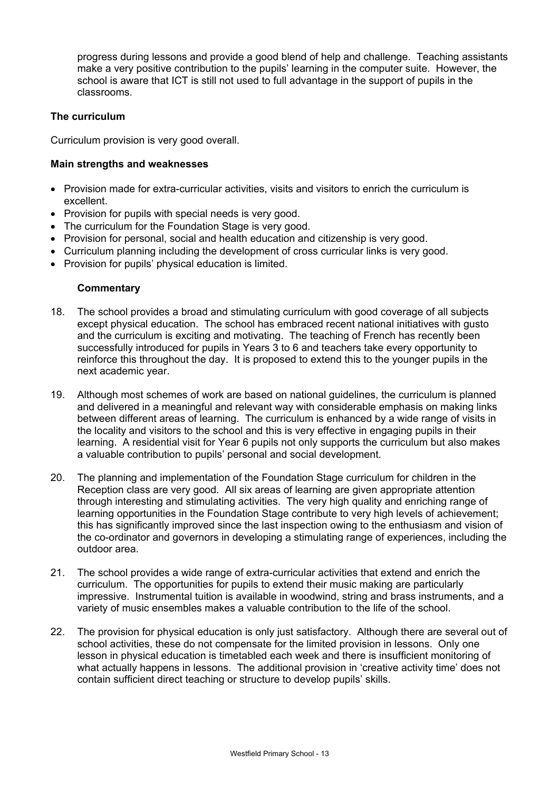progress during lessons and provide a good blend of help and challenge. Teaching assistants make a very positive contribution to the pupils' learning in the computer suite. However, the school is aware that ICT is still not used to full advantage in the support of pupils in the classrooms.

# **The curriculum**

Curriculum provision is very good overall.

### **Main strengths and weaknesses**

- Provision made for extra-curricular activities, visits and visitors to enrich the curriculum is excellent.
- Provision for pupils with special needs is very good.
- The curriculum for the Foundation Stage is very good.
- Provision for personal, social and health education and citizenship is very good.
- Curriculum planning including the development of cross curricular links is very good.
- Provision for pupils' physical education is limited.

- 18. The school provides a broad and stimulating curriculum with good coverage of all subjects except physical education. The school has embraced recent national initiatives with gusto and the curriculum is exciting and motivating. The teaching of French has recently been successfully introduced for pupils in Years 3 to 6 and teachers take every opportunity to reinforce this throughout the day. It is proposed to extend this to the younger pupils in the next academic year.
- 19. Although most schemes of work are based on national guidelines, the curriculum is planned and delivered in a meaningful and relevant way with considerable emphasis on making links between different areas of learning. The curriculum is enhanced by a wide range of visits in the locality and visitors to the school and this is very effective in engaging pupils in their learning. A residential visit for Year 6 pupils not only supports the curriculum but also makes a valuable contribution to pupils' personal and social development.
- 20. The planning and implementation of the Foundation Stage curriculum for children in the Reception class are very good. All six areas of learning are given appropriate attention through interesting and stimulating activities. The very high quality and enriching range of learning opportunities in the Foundation Stage contribute to very high levels of achievement; this has significantly improved since the last inspection owing to the enthusiasm and vision of the co-ordinator and governors in developing a stimulating range of experiences, including the outdoor area.
- 21. The school provides a wide range of extra-curricular activities that extend and enrich the curriculum. The opportunities for pupils to extend their music making are particularly impressive. Instrumental tuition is available in woodwind, string and brass instruments, and a variety of music ensembles makes a valuable contribution to the life of the school.
- 22. The provision for physical education is only just satisfactory. Although there are several out of school activities, these do not compensate for the limited provision in lessons. Only one lesson in physical education is timetabled each week and there is insufficient monitoring of what actually happens in lessons. The additional provision in 'creative activity time' does not contain sufficient direct teaching or structure to develop pupils' skills.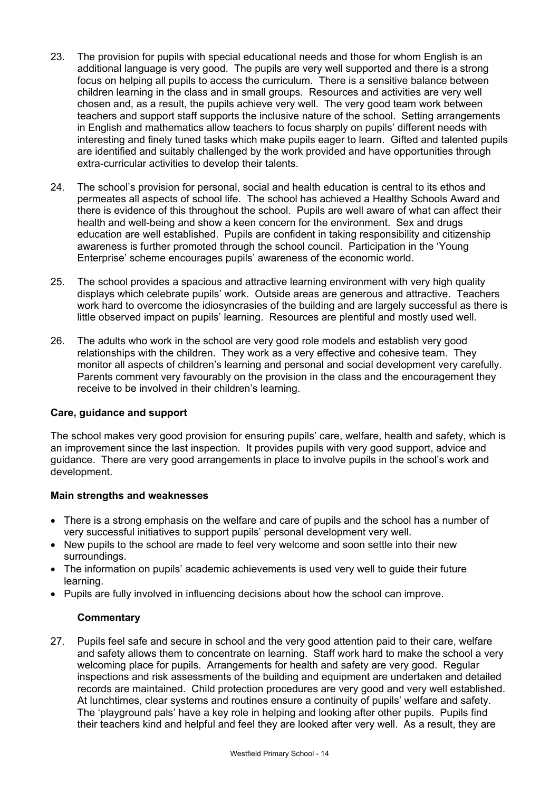- 23. The provision for pupils with special educational needs and those for whom English is an additional language is very good. The pupils are very well supported and there is a strong focus on helping all pupils to access the curriculum. There is a sensitive balance between children learning in the class and in small groups. Resources and activities are very well chosen and, as a result, the pupils achieve very well. The very good team work between teachers and support staff supports the inclusive nature of the school. Setting arrangements in English and mathematics allow teachers to focus sharply on pupils' different needs with interesting and finely tuned tasks which make pupils eager to learn. Gifted and talented pupils are identified and suitably challenged by the work provided and have opportunities through extra-curricular activities to develop their talents.
- 24. The school's provision for personal, social and health education is central to its ethos and permeates all aspects of school life. The school has achieved a Healthy Schools Award and there is evidence of this throughout the school. Pupils are well aware of what can affect their health and well-being and show a keen concern for the environment. Sex and drugs education are well established. Pupils are confident in taking responsibility and citizenship awareness is further promoted through the school council. Participation in the 'Young Enterprise' scheme encourages pupils' awareness of the economic world.
- 25. The school provides a spacious and attractive learning environment with very high quality displays which celebrate pupils' work. Outside areas are generous and attractive. Teachers work hard to overcome the idiosyncrasies of the building and are largely successful as there is little observed impact on pupils' learning. Resources are plentiful and mostly used well.
- 26. The adults who work in the school are very good role models and establish very good relationships with the children. They work as a very effective and cohesive team. They monitor all aspects of children's learning and personal and social development very carefully. Parents comment very favourably on the provision in the class and the encouragement they receive to be involved in their children's learning.

# **Care, guidance and support**

The school makes very good provision for ensuring pupils' care, welfare, health and safety, which is an improvement since the last inspection. It provides pupils with very good support, advice and guidance. There are very good arrangements in place to involve pupils in the school's work and development.

#### **Main strengths and weaknesses**

- There is a strong emphasis on the welfare and care of pupils and the school has a number of very successful initiatives to support pupils' personal development very well.
- New pupils to the school are made to feel very welcome and soon settle into their new surroundings.
- The information on pupils' academic achievements is used very well to guide their future learning.
- Pupils are fully involved in influencing decisions about how the school can improve.

# **Commentary**

27. Pupils feel safe and secure in school and the very good attention paid to their care, welfare and safety allows them to concentrate on learning. Staff work hard to make the school a very welcoming place for pupils. Arrangements for health and safety are very good. Regular inspections and risk assessments of the building and equipment are undertaken and detailed records are maintained. Child protection procedures are very good and very well established. At lunchtimes, clear systems and routines ensure a continuity of pupils' welfare and safety. The 'playground pals' have a key role in helping and looking after other pupils. Pupils find their teachers kind and helpful and feel they are looked after very well. As a result, they are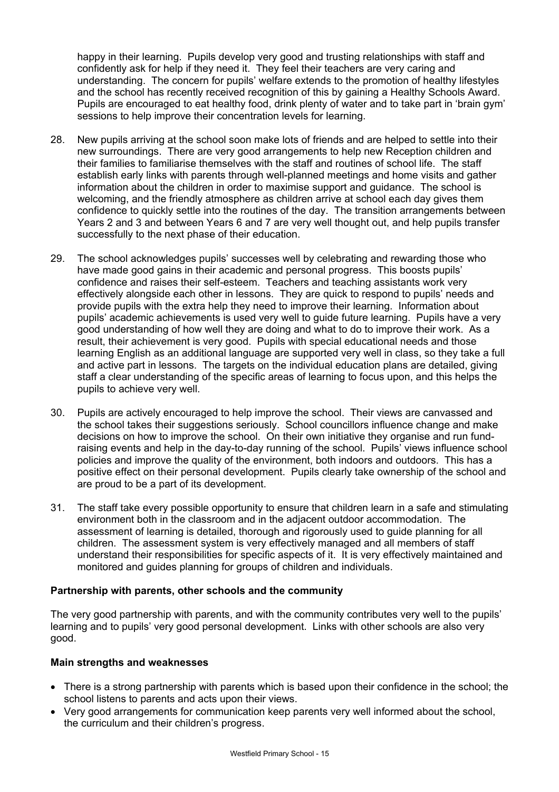happy in their learning. Pupils develop very good and trusting relationships with staff and confidently ask for help if they need it. They feel their teachers are very caring and understanding. The concern for pupils' welfare extends to the promotion of healthy lifestyles and the school has recently received recognition of this by gaining a Healthy Schools Award. Pupils are encouraged to eat healthy food, drink plenty of water and to take part in 'brain gym' sessions to help improve their concentration levels for learning.

- 28. New pupils arriving at the school soon make lots of friends and are helped to settle into their new surroundings. There are very good arrangements to help new Reception children and their families to familiarise themselves with the staff and routines of school life. The staff establish early links with parents through well-planned meetings and home visits and gather information about the children in order to maximise support and guidance. The school is welcoming, and the friendly atmosphere as children arrive at school each day gives them confidence to quickly settle into the routines of the day. The transition arrangements between Years 2 and 3 and between Years 6 and 7 are very well thought out, and help pupils transfer successfully to the next phase of their education.
- 29. The school acknowledges pupils' successes well by celebrating and rewarding those who have made good gains in their academic and personal progress. This boosts pupils' confidence and raises their self-esteem. Teachers and teaching assistants work very effectively alongside each other in lessons. They are quick to respond to pupils' needs and provide pupils with the extra help they need to improve their learning. Information about pupils' academic achievements is used very well to guide future learning. Pupils have a very good understanding of how well they are doing and what to do to improve their work. As a result, their achievement is very good. Pupils with special educational needs and those learning English as an additional language are supported very well in class, so they take a full and active part in lessons. The targets on the individual education plans are detailed, giving staff a clear understanding of the specific areas of learning to focus upon, and this helps the pupils to achieve very well.
- 30. Pupils are actively encouraged to help improve the school. Their views are canvassed and the school takes their suggestions seriously. School councillors influence change and make decisions on how to improve the school. On their own initiative they organise and run fundraising events and help in the day-to-day running of the school. Pupils' views influence school policies and improve the quality of the environment, both indoors and outdoors. This has a positive effect on their personal development. Pupils clearly take ownership of the school and are proud to be a part of its development.
- 31. The staff take every possible opportunity to ensure that children learn in a safe and stimulating environment both in the classroom and in the adjacent outdoor accommodation. The assessment of learning is detailed, thorough and rigorously used to guide planning for all children. The assessment system is very effectively managed and all members of staff understand their responsibilities for specific aspects of it. It is very effectively maintained and monitored and guides planning for groups of children and individuals.

# **Partnership with parents, other schools and the community**

The very good partnership with parents, and with the community contributes very well to the pupils' learning and to pupils' very good personal development. Links with other schools are also very good.

# **Main strengths and weaknesses**

- There is a strong partnership with parents which is based upon their confidence in the school; the school listens to parents and acts upon their views.
- Very good arrangements for communication keep parents very well informed about the school, the curriculum and their children's progress.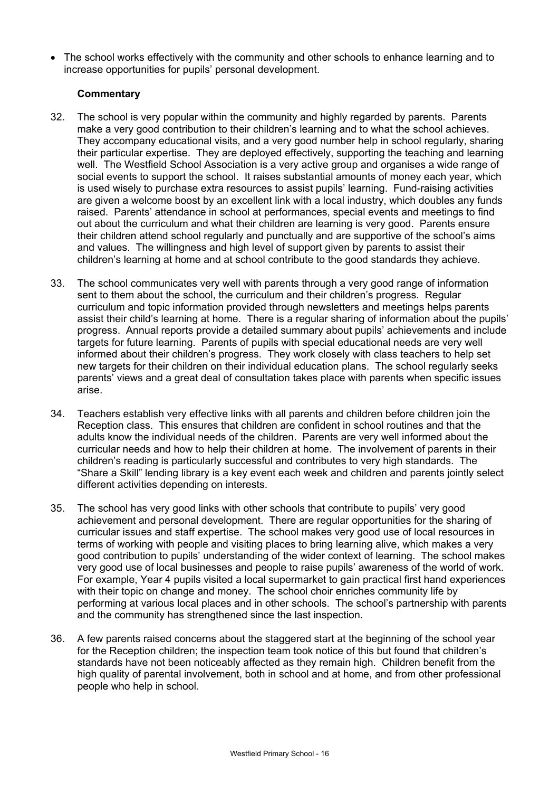• The school works effectively with the community and other schools to enhance learning and to increase opportunities for pupils' personal development.

- 32. The school is very popular within the community and highly regarded by parents. Parents make a very good contribution to their children's learning and to what the school achieves. They accompany educational visits, and a very good number help in school regularly, sharing their particular expertise. They are deployed effectively, supporting the teaching and learning well. The Westfield School Association is a very active group and organises a wide range of social events to support the school. It raises substantial amounts of money each year, which is used wisely to purchase extra resources to assist pupils' learning. Fund-raising activities are given a welcome boost by an excellent link with a local industry, which doubles any funds raised. Parents' attendance in school at performances, special events and meetings to find out about the curriculum and what their children are learning is very good. Parents ensure their children attend school regularly and punctually and are supportive of the school's aims and values. The willingness and high level of support given by parents to assist their children's learning at home and at school contribute to the good standards they achieve.
- 33. The school communicates very well with parents through a very good range of information sent to them about the school, the curriculum and their children's progress. Regular curriculum and topic information provided through newsletters and meetings helps parents assist their child's learning at home. There is a regular sharing of information about the pupils' progress. Annual reports provide a detailed summary about pupils' achievements and include targets for future learning. Parents of pupils with special educational needs are very well informed about their children's progress. They work closely with class teachers to help set new targets for their children on their individual education plans. The school regularly seeks parents' views and a great deal of consultation takes place with parents when specific issues arise.
- 34. Teachers establish very effective links with all parents and children before children join the Reception class. This ensures that children are confident in school routines and that the adults know the individual needs of the children. Parents are very well informed about the curricular needs and how to help their children at home. The involvement of parents in their children's reading is particularly successful and contributes to very high standards. The "Share a Skill" lending library is a key event each week and children and parents jointly select different activities depending on interests.
- 35. The school has very good links with other schools that contribute to pupils' very good achievement and personal development. There are regular opportunities for the sharing of curricular issues and staff expertise. The school makes very good use of local resources in terms of working with people and visiting places to bring learning alive, which makes a very good contribution to pupils' understanding of the wider context of learning. The school makes very good use of local businesses and people to raise pupils' awareness of the world of work. For example, Year 4 pupils visited a local supermarket to gain practical first hand experiences with their topic on change and money. The school choir enriches community life by performing at various local places and in other schools. The school's partnership with parents and the community has strengthened since the last inspection.
- 36. A few parents raised concerns about the staggered start at the beginning of the school year for the Reception children; the inspection team took notice of this but found that children's standards have not been noticeably affected as they remain high. Children benefit from the high quality of parental involvement, both in school and at home, and from other professional people who help in school.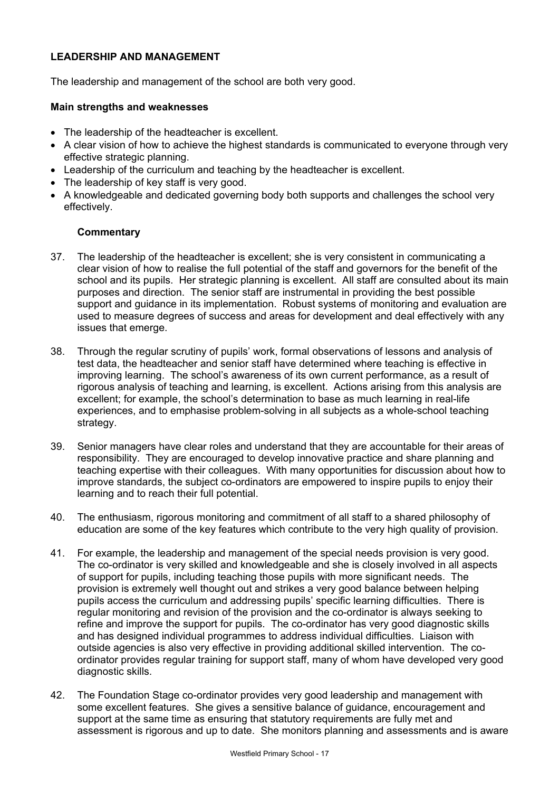# **LEADERSHIP AND MANAGEMENT**

The leadership and management of the school are both very good.

#### **Main strengths and weaknesses**

- The leadership of the headteacher is excellent.
- A clear vision of how to achieve the highest standards is communicated to everyone through very effective strategic planning.
- Leadership of the curriculum and teaching by the headteacher is excellent.
- The leadership of key staff is very good.
- A knowledgeable and dedicated governing body both supports and challenges the school very effectively.

- 37. The leadership of the headteacher is excellent; she is very consistent in communicating a clear vision of how to realise the full potential of the staff and governors for the benefit of the school and its pupils. Her strategic planning is excellent. All staff are consulted about its main purposes and direction. The senior staff are instrumental in providing the best possible support and guidance in its implementation. Robust systems of monitoring and evaluation are used to measure degrees of success and areas for development and deal effectively with any issues that emerge.
- 38. Through the regular scrutiny of pupils' work, formal observations of lessons and analysis of test data, the headteacher and senior staff have determined where teaching is effective in improving learning. The school's awareness of its own current performance, as a result of rigorous analysis of teaching and learning, is excellent. Actions arising from this analysis are excellent; for example, the school's determination to base as much learning in real-life experiences, and to emphasise problem-solving in all subjects as a whole-school teaching strategy.
- 39. Senior managers have clear roles and understand that they are accountable for their areas of responsibility. They are encouraged to develop innovative practice and share planning and teaching expertise with their colleagues. With many opportunities for discussion about how to improve standards, the subject co-ordinators are empowered to inspire pupils to enjoy their learning and to reach their full potential.
- 40. The enthusiasm, rigorous monitoring and commitment of all staff to a shared philosophy of education are some of the key features which contribute to the very high quality of provision.
- 41. For example, the leadership and management of the special needs provision is very good. The co-ordinator is very skilled and knowledgeable and she is closely involved in all aspects of support for pupils, including teaching those pupils with more significant needs. The provision is extremely well thought out and strikes a very good balance between helping pupils access the curriculum and addressing pupils' specific learning difficulties. There is regular monitoring and revision of the provision and the co-ordinator is always seeking to refine and improve the support for pupils. The co-ordinator has very good diagnostic skills and has designed individual programmes to address individual difficulties. Liaison with outside agencies is also very effective in providing additional skilled intervention. The coordinator provides regular training for support staff, many of whom have developed very good diagnostic skills.
- 42. The Foundation Stage co-ordinator provides very good leadership and management with some excellent features. She gives a sensitive balance of guidance, encouragement and support at the same time as ensuring that statutory requirements are fully met and assessment is rigorous and up to date. She monitors planning and assessments and is aware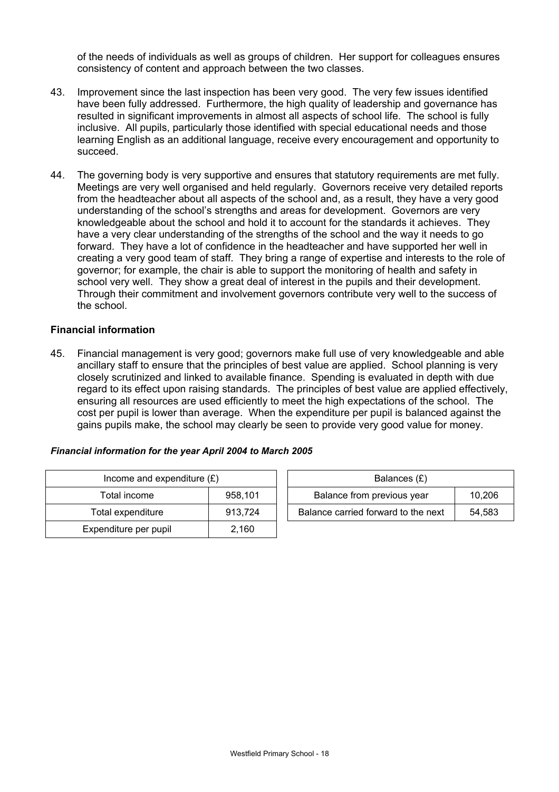of the needs of individuals as well as groups of children. Her support for colleagues ensures consistency of content and approach between the two classes.

- 43. Improvement since the last inspection has been very good. The very few issues identified have been fully addressed. Furthermore, the high quality of leadership and governance has resulted in significant improvements in almost all aspects of school life. The school is fully inclusive. All pupils, particularly those identified with special educational needs and those learning English as an additional language, receive every encouragement and opportunity to succeed.
- 44. The governing body is very supportive and ensures that statutory requirements are met fully. Meetings are very well organised and held regularly. Governors receive very detailed reports from the headteacher about all aspects of the school and, as a result, they have a very good understanding of the school's strengths and areas for development. Governors are very knowledgeable about the school and hold it to account for the standards it achieves. They have a very clear understanding of the strengths of the school and the way it needs to go forward. They have a lot of confidence in the headteacher and have supported her well in creating a very good team of staff. They bring a range of expertise and interests to the role of governor; for example, the chair is able to support the monitoring of health and safety in school very well. They show a great deal of interest in the pupils and their development. Through their commitment and involvement governors contribute very well to the success of the school.

# **Financial information**

45. Financial management is very good; governors make full use of very knowledgeable and able ancillary staff to ensure that the principles of best value are applied. School planning is very closely scrutinized and linked to available finance. Spending is evaluated in depth with due regard to its effect upon raising standards. The principles of best value are applied effectively, ensuring all resources are used efficiently to meet the high expectations of the school. The cost per pupil is lower than average. When the expenditure per pupil is balanced against the gains pupils make, the school may clearly be seen to provide very good value for money.

# *Financial information for the year April 2004 to March 2005*

| Income and expenditure $(E)$ | Balances $(E)$ |                                  |
|------------------------------|----------------|----------------------------------|
| Total income                 | 958,101        | Balance from previous year       |
| Total expenditure            | 913.724        | Balance carried forward to the r |
| Expenditure per pupil        | 2,160          |                                  |

| Income and expenditure $(E)$ |         | Balances (£)                        |        |
|------------------------------|---------|-------------------------------------|--------|
| Total income                 | 958.101 | Balance from previous year          | 10,206 |
| Total expenditure            | 913.724 | Balance carried forward to the next | 54.583 |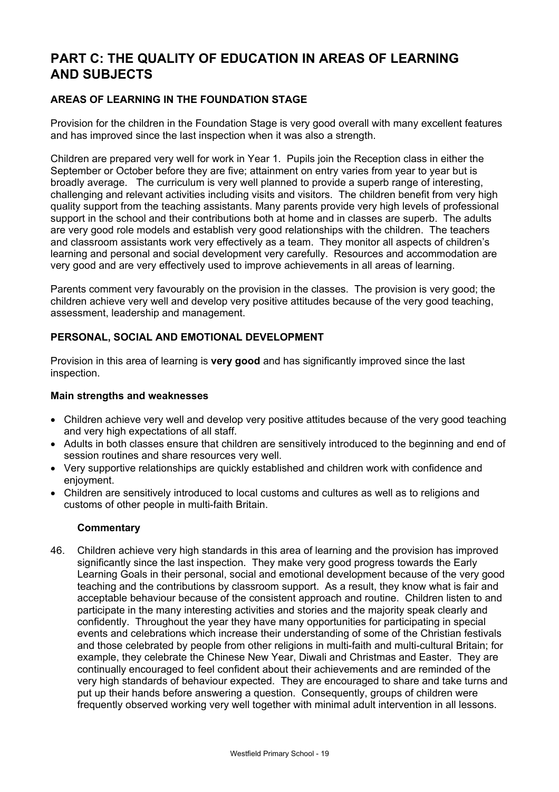# **PART C: THE QUALITY OF EDUCATION IN AREAS OF LEARNING AND SUBJECTS**

# **AREAS OF LEARNING IN THE FOUNDATION STAGE**

Provision for the children in the Foundation Stage is very good overall with many excellent features and has improved since the last inspection when it was also a strength.

Children are prepared very well for work in Year 1. Pupils join the Reception class in either the September or October before they are five; attainment on entry varies from year to year but is broadly average. The curriculum is very well planned to provide a superb range of interesting, challenging and relevant activities including visits and visitors. The children benefit from very high quality support from the teaching assistants. Many parents provide very high levels of professional support in the school and their contributions both at home and in classes are superb. The adults are very good role models and establish very good relationships with the children. The teachers and classroom assistants work very effectively as a team. They monitor all aspects of children's learning and personal and social development very carefully. Resources and accommodation are very good and are very effectively used to improve achievements in all areas of learning.

Parents comment very favourably on the provision in the classes. The provision is very good; the children achieve very well and develop very positive attitudes because of the very good teaching, assessment, leadership and management.

# **PERSONAL, SOCIAL AND EMOTIONAL DEVELOPMENT**

Provision in this area of learning is **very good** and has significantly improved since the last inspection.

#### **Main strengths and weaknesses**

- Children achieve very well and develop very positive attitudes because of the very good teaching and very high expectations of all staff.
- Adults in both classes ensure that children are sensitively introduced to the beginning and end of session routines and share resources very well.
- Very supportive relationships are quickly established and children work with confidence and enjoyment.
- Children are sensitively introduced to local customs and cultures as well as to religions and customs of other people in multi-faith Britain.

#### **Commentary**

46. Children achieve very high standards in this area of learning and the provision has improved significantly since the last inspection. They make very good progress towards the Early Learning Goals in their personal, social and emotional development because of the very good teaching and the contributions by classroom support. As a result, they know what is fair and acceptable behaviour because of the consistent approach and routine. Children listen to and participate in the many interesting activities and stories and the majority speak clearly and confidently. Throughout the year they have many opportunities for participating in special events and celebrations which increase their understanding of some of the Christian festivals and those celebrated by people from other religions in multi-faith and multi-cultural Britain; for example, they celebrate the Chinese New Year, Diwali and Christmas and Easter. They are continually encouraged to feel confident about their achievements and are reminded of the very high standards of behaviour expected. They are encouraged to share and take turns and put up their hands before answering a question. Consequently, groups of children were frequently observed working very well together with minimal adult intervention in all lessons.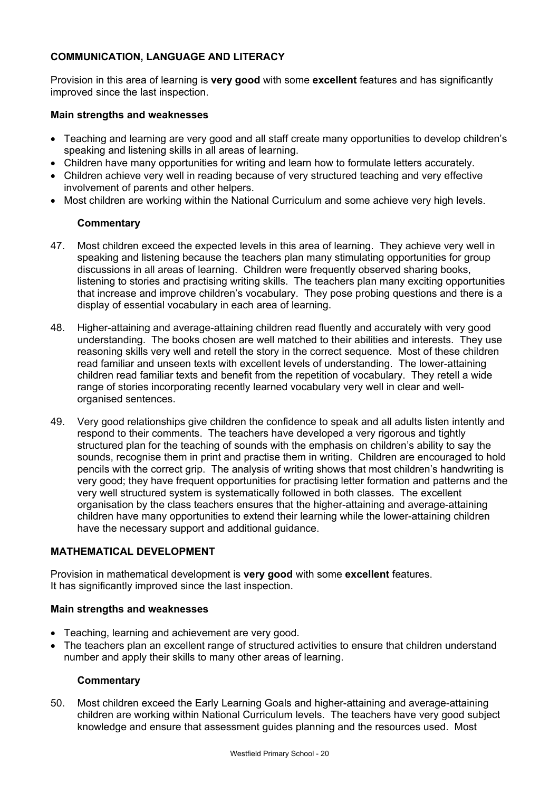# **COMMUNICATION, LANGUAGE AND LITERACY**

Provision in this area of learning is **very good** with some **excellent** features and has significantly improved since the last inspection.

#### **Main strengths and weaknesses**

- Teaching and learning are very good and all staff create many opportunities to develop children's speaking and listening skills in all areas of learning.
- Children have many opportunities for writing and learn how to formulate letters accurately.
- Children achieve very well in reading because of very structured teaching and very effective involvement of parents and other helpers.
- Most children are working within the National Curriculum and some achieve very high levels.

### **Commentary**

- 47. Most children exceed the expected levels in this area of learning. They achieve very well in speaking and listening because the teachers plan many stimulating opportunities for group discussions in all areas of learning. Children were frequently observed sharing books, listening to stories and practising writing skills. The teachers plan many exciting opportunities that increase and improve children's vocabulary. They pose probing questions and there is a display of essential vocabulary in each area of learning.
- 48. Higher-attaining and average-attaining children read fluently and accurately with very good understanding. The books chosen are well matched to their abilities and interests. They use reasoning skills very well and retell the story in the correct sequence. Most of these children read familiar and unseen texts with excellent levels of understanding. The lower-attaining children read familiar texts and benefit from the repetition of vocabulary. They retell a wide range of stories incorporating recently learned vocabulary very well in clear and wellorganised sentences.
- 49. Very good relationships give children the confidence to speak and all adults listen intently and respond to their comments. The teachers have developed a very rigorous and tightly structured plan for the teaching of sounds with the emphasis on children's ability to say the sounds, recognise them in print and practise them in writing. Children are encouraged to hold pencils with the correct grip. The analysis of writing shows that most children's handwriting is very good; they have frequent opportunities for practising letter formation and patterns and the very well structured system is systematically followed in both classes. The excellent organisation by the class teachers ensures that the higher-attaining and average-attaining children have many opportunities to extend their learning while the lower-attaining children have the necessary support and additional guidance.

### **MATHEMATICAL DEVELOPMENT**

Provision in mathematical development is **very good** with some **excellent** features. It has significantly improved since the last inspection.

#### **Main strengths and weaknesses**

- Teaching, learning and achievement are very good.
- The teachers plan an excellent range of structured activities to ensure that children understand number and apply their skills to many other areas of learning.

#### **Commentary**

50. Most children exceed the Early Learning Goals and higher-attaining and average-attaining children are working within National Curriculum levels. The teachers have very good subject knowledge and ensure that assessment guides planning and the resources used. Most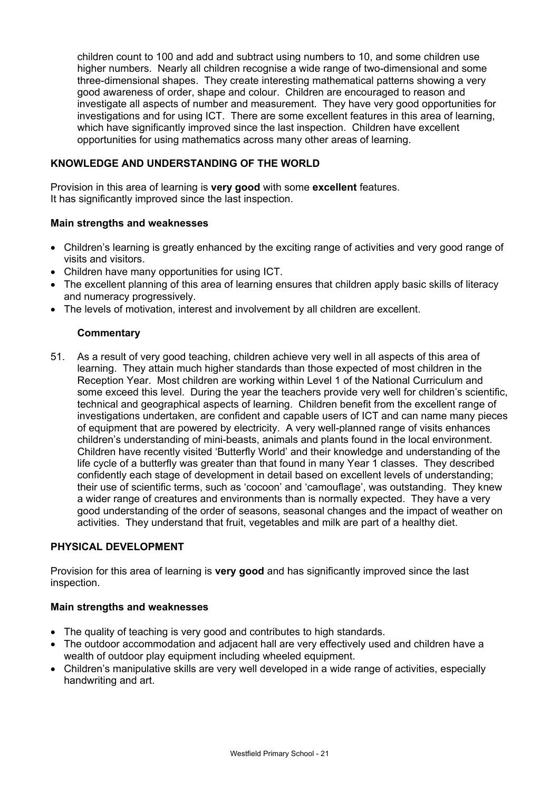children count to 100 and add and subtract using numbers to 10, and some children use higher numbers. Nearly all children recognise a wide range of two-dimensional and some three-dimensional shapes. They create interesting mathematical patterns showing a very good awareness of order, shape and colour. Children are encouraged to reason and investigate all aspects of number and measurement. They have very good opportunities for investigations and for using ICT. There are some excellent features in this area of learning, which have significantly improved since the last inspection. Children have excellent opportunities for using mathematics across many other areas of learning.

# **KNOWLEDGE AND UNDERSTANDING OF THE WORLD**

Provision in this area of learning is **very good** with some **excellent** features. It has significantly improved since the last inspection.

# **Main strengths and weaknesses**

- Children's learning is greatly enhanced by the exciting range of activities and very good range of visits and visitors.
- Children have many opportunities for using ICT.
- The excellent planning of this area of learning ensures that children apply basic skills of literacy and numeracy progressively.
- The levels of motivation, interest and involvement by all children are excellent.

# **Commentary**

51. As a result of very good teaching, children achieve very well in all aspects of this area of learning. They attain much higher standards than those expected of most children in the Reception Year. Most children are working within Level 1 of the National Curriculum and some exceed this level. During the year the teachers provide very well for children's scientific, technical and geographical aspects of learning. Children benefit from the excellent range of investigations undertaken, are confident and capable users of ICT and can name many pieces of equipment that are powered by electricity. A very well-planned range of visits enhances children's understanding of mini-beasts, animals and plants found in the local environment. Children have recently visited 'Butterfly World' and their knowledge and understanding of the life cycle of a butterfly was greater than that found in many Year 1 classes. They described confidently each stage of development in detail based on excellent levels of understanding; their use of scientific terms, such as 'cocoon' and 'camouflage', was outstanding. They knew a wider range of creatures and environments than is normally expected. They have a very good understanding of the order of seasons, seasonal changes and the impact of weather on activities. They understand that fruit, vegetables and milk are part of a healthy diet.

# **PHYSICAL DEVELOPMENT**

Provision for this area of learning is **very good** and has significantly improved since the last inspection.

# **Main strengths and weaknesses**

- The quality of teaching is very good and contributes to high standards.
- The outdoor accommodation and adiacent hall are very effectively used and children have a wealth of outdoor play equipment including wheeled equipment.
- Children's manipulative skills are very well developed in a wide range of activities, especially handwriting and art.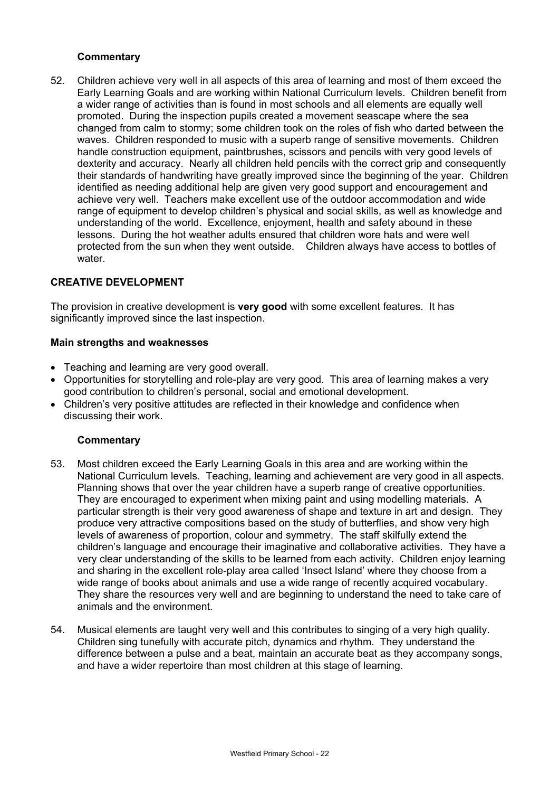# **Commentary**

52. Children achieve very well in all aspects of this area of learning and most of them exceed the Early Learning Goals and are working within National Curriculum levels. Children benefit from a wider range of activities than is found in most schools and all elements are equally well promoted. During the inspection pupils created a movement seascape where the sea changed from calm to stormy; some children took on the roles of fish who darted between the waves. Children responded to music with a superb range of sensitive movements. Children handle construction equipment, paintbrushes, scissors and pencils with very good levels of dexterity and accuracy. Nearly all children held pencils with the correct grip and consequently their standards of handwriting have greatly improved since the beginning of the year. Children identified as needing additional help are given very good support and encouragement and achieve very well. Teachers make excellent use of the outdoor accommodation and wide range of equipment to develop children's physical and social skills, as well as knowledge and understanding of the world. Excellence, enjoyment, health and safety abound in these lessons. During the hot weather adults ensured that children wore hats and were well protected from the sun when they went outside. Children always have access to bottles of water.

# **CREATIVE DEVELOPMENT**

The provision in creative development is **very good** with some excellent features. It has significantly improved since the last inspection.

### **Main strengths and weaknesses**

- Teaching and learning are very good overall.
- Opportunities for storytelling and role-play are very good. This area of learning makes a very good contribution to children's personal, social and emotional development.
- Children's very positive attitudes are reflected in their knowledge and confidence when discussing their work.

- 53. Most children exceed the Early Learning Goals in this area and are working within the National Curriculum levels. Teaching, learning and achievement are very good in all aspects. Planning shows that over the year children have a superb range of creative opportunities. They are encouraged to experiment when mixing paint and using modelling materials. A particular strength is their very good awareness of shape and texture in art and design. They produce very attractive compositions based on the study of butterflies, and show very high levels of awareness of proportion, colour and symmetry. The staff skilfully extend the children's language and encourage their imaginative and collaborative activities. They have a very clear understanding of the skills to be learned from each activity. Children enjoy learning and sharing in the excellent role-play area called 'Insect Island' where they choose from a wide range of books about animals and use a wide range of recently acquired vocabulary. They share the resources very well and are beginning to understand the need to take care of animals and the environment.
- 54. Musical elements are taught very well and this contributes to singing of a very high quality. Children sing tunefully with accurate pitch, dynamics and rhythm. They understand the difference between a pulse and a beat, maintain an accurate beat as they accompany songs, and have a wider repertoire than most children at this stage of learning.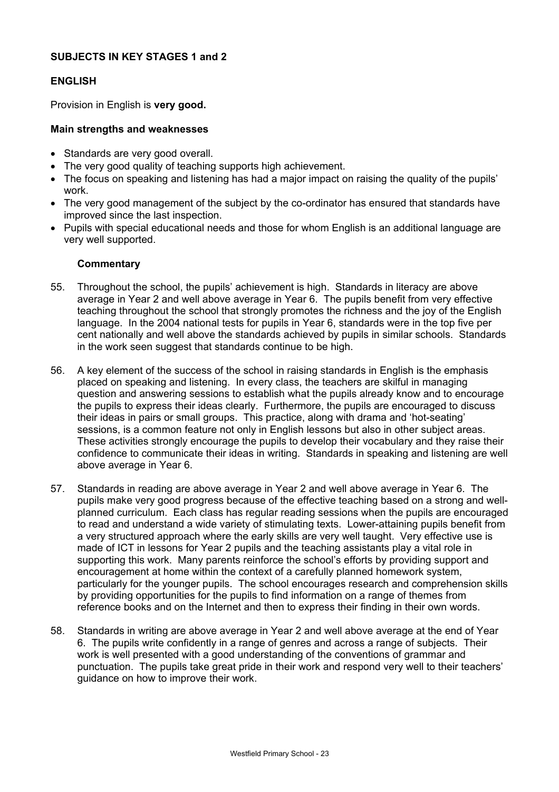# **SUBJECTS IN KEY STAGES 1 and 2**

# **ENGLISH**

Provision in English is **very good.**

### **Main strengths and weaknesses**

- Standards are very good overall.
- The very good quality of teaching supports high achievement.
- The focus on speaking and listening has had a major impact on raising the quality of the pupils' work.
- The very good management of the subject by the co-ordinator has ensured that standards have improved since the last inspection.
- Pupils with special educational needs and those for whom English is an additional language are very well supported.

- 55. Throughout the school, the pupils' achievement is high. Standards in literacy are above average in Year 2 and well above average in Year 6. The pupils benefit from very effective teaching throughout the school that strongly promotes the richness and the joy of the English language. In the 2004 national tests for pupils in Year 6, standards were in the top five per cent nationally and well above the standards achieved by pupils in similar schools. Standards in the work seen suggest that standards continue to be high.
- 56. A key element of the success of the school in raising standards in English is the emphasis placed on speaking and listening. In every class, the teachers are skilful in managing question and answering sessions to establish what the pupils already know and to encourage the pupils to express their ideas clearly. Furthermore, the pupils are encouraged to discuss their ideas in pairs or small groups. This practice, along with drama and 'hot-seating' sessions, is a common feature not only in English lessons but also in other subject areas. These activities strongly encourage the pupils to develop their vocabulary and they raise their confidence to communicate their ideas in writing. Standards in speaking and listening are well above average in Year 6.
- 57. Standards in reading are above average in Year 2 and well above average in Year 6. The pupils make very good progress because of the effective teaching based on a strong and wellplanned curriculum. Each class has regular reading sessions when the pupils are encouraged to read and understand a wide variety of stimulating texts. Lower-attaining pupils benefit from a very structured approach where the early skills are very well taught. Very effective use is made of ICT in lessons for Year 2 pupils and the teaching assistants play a vital role in supporting this work. Many parents reinforce the school's efforts by providing support and encouragement at home within the context of a carefully planned homework system, particularly for the younger pupils. The school encourages research and comprehension skills by providing opportunities for the pupils to find information on a range of themes from reference books and on the Internet and then to express their finding in their own words.
- 58. Standards in writing are above average in Year 2 and well above average at the end of Year 6. The pupils write confidently in a range of genres and across a range of subjects. Their work is well presented with a good understanding of the conventions of grammar and punctuation. The pupils take great pride in their work and respond very well to their teachers' guidance on how to improve their work.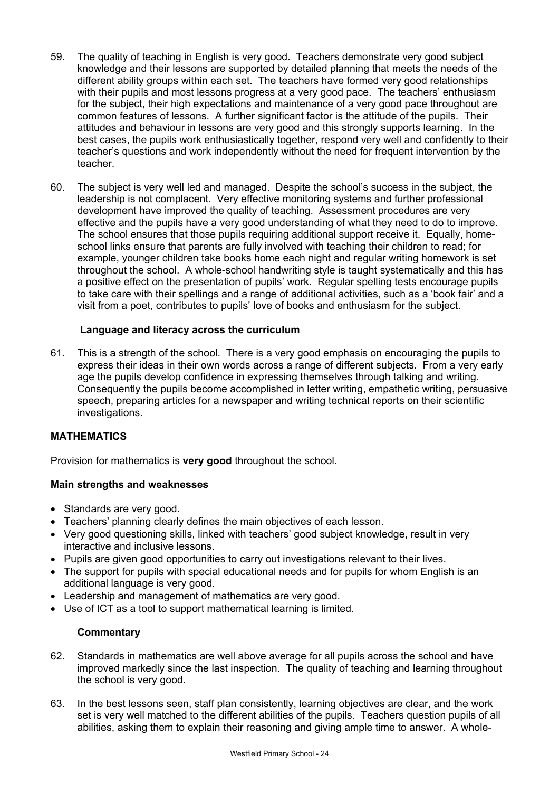- 59. The quality of teaching in English is very good. Teachers demonstrate very good subject knowledge and their lessons are supported by detailed planning that meets the needs of the different ability groups within each set. The teachers have formed very good relationships with their pupils and most lessons progress at a very good pace. The teachers' enthusiasm for the subject, their high expectations and maintenance of a very good pace throughout are common features of lessons. A further significant factor is the attitude of the pupils. Their attitudes and behaviour in lessons are very good and this strongly supports learning. In the best cases, the pupils work enthusiastically together, respond very well and confidently to their teacher's questions and work independently without the need for frequent intervention by the teacher.
- 60. The subject is very well led and managed. Despite the school's success in the subject, the leadership is not complacent. Very effective monitoring systems and further professional development have improved the quality of teaching. Assessment procedures are very effective and the pupils have a very good understanding of what they need to do to improve. The school ensures that those pupils requiring additional support receive it. Equally, homeschool links ensure that parents are fully involved with teaching their children to read; for example, younger children take books home each night and regular writing homework is set throughout the school. A whole-school handwriting style is taught systematically and this has a positive effect on the presentation of pupils' work. Regular spelling tests encourage pupils to take care with their spellings and a range of additional activities, such as a 'book fair' and a visit from a poet, contributes to pupils' love of books and enthusiasm for the subject.

# **Language and literacy across the curriculum**

61. This is a strength of the school. There is a very good emphasis on encouraging the pupils to express their ideas in their own words across a range of different subjects. From a very early age the pupils develop confidence in expressing themselves through talking and writing. Consequently the pupils become accomplished in letter writing, empathetic writing, persuasive speech, preparing articles for a newspaper and writing technical reports on their scientific investigations.

# **MATHEMATICS**

Provision for mathematics is **very good** throughout the school.

# **Main strengths and weaknesses**

- Standards are very good.
- Teachers' planning clearly defines the main objectives of each lesson.
- Very good questioning skills, linked with teachers' good subject knowledge, result in very interactive and inclusive lessons.
- Pupils are given good opportunities to carry out investigations relevant to their lives.
- The support for pupils with special educational needs and for pupils for whom English is an additional language is very good.
- Leadership and management of mathematics are very good.
- Use of ICT as a tool to support mathematical learning is limited.

- 62. Standards in mathematics are well above average for all pupils across the school and have improved markedly since the last inspection. The quality of teaching and learning throughout the school is very good.
- 63. In the best lessons seen, staff plan consistently, learning objectives are clear, and the work set is very well matched to the different abilities of the pupils. Teachers question pupils of all abilities, asking them to explain their reasoning and giving ample time to answer. A whole-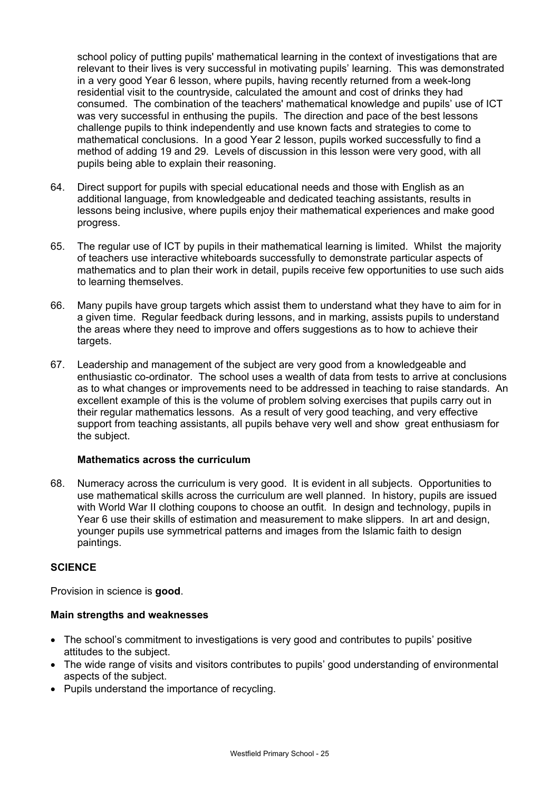school policy of putting pupils' mathematical learning in the context of investigations that are relevant to their lives is very successful in motivating pupils' learning. This was demonstrated in a very good Year 6 lesson, where pupils, having recently returned from a week-long residential visit to the countryside, calculated the amount and cost of drinks they had consumed. The combination of the teachers' mathematical knowledge and pupils' use of ICT was very successful in enthusing the pupils. The direction and pace of the best lessons challenge pupils to think independently and use known facts and strategies to come to mathematical conclusions. In a good Year 2 lesson, pupils worked successfully to find a method of adding 19 and 29. Levels of discussion in this lesson were very good, with all pupils being able to explain their reasoning.

- 64. Direct support for pupils with special educational needs and those with English as an additional language, from knowledgeable and dedicated teaching assistants, results in lessons being inclusive, where pupils enjoy their mathematical experiences and make good progress.
- 65. The regular use of ICT by pupils in their mathematical learning is limited. Whilst the majority of teachers use interactive whiteboards successfully to demonstrate particular aspects of mathematics and to plan their work in detail, pupils receive few opportunities to use such aids to learning themselves.
- 66. Many pupils have group targets which assist them to understand what they have to aim for in a given time. Regular feedback during lessons, and in marking, assists pupils to understand the areas where they need to improve and offers suggestions as to how to achieve their targets.
- 67. Leadership and management of the subject are very good from a knowledgeable and enthusiastic co-ordinator. The school uses a wealth of data from tests to arrive at conclusions as to what changes or improvements need to be addressed in teaching to raise standards. An excellent example of this is the volume of problem solving exercises that pupils carry out in their regular mathematics lessons. As a result of very good teaching, and very effective support from teaching assistants, all pupils behave very well and show great enthusiasm for the subject.

# **Mathematics across the curriculum**

68. Numeracy across the curriculum is very good. It is evident in all subjects. Opportunities to use mathematical skills across the curriculum are well planned. In history, pupils are issued with World War II clothing coupons to choose an outfit. In design and technology, pupils in Year 6 use their skills of estimation and measurement to make slippers. In art and design, younger pupils use symmetrical patterns and images from the Islamic faith to design paintings.

# **SCIENCE**

Provision in science is **good**.

# **Main strengths and weaknesses**

- The school's commitment to investigations is very good and contributes to pupils' positive attitudes to the subject.
- The wide range of visits and visitors contributes to pupils' good understanding of environmental aspects of the subject.
- Pupils understand the importance of recycling.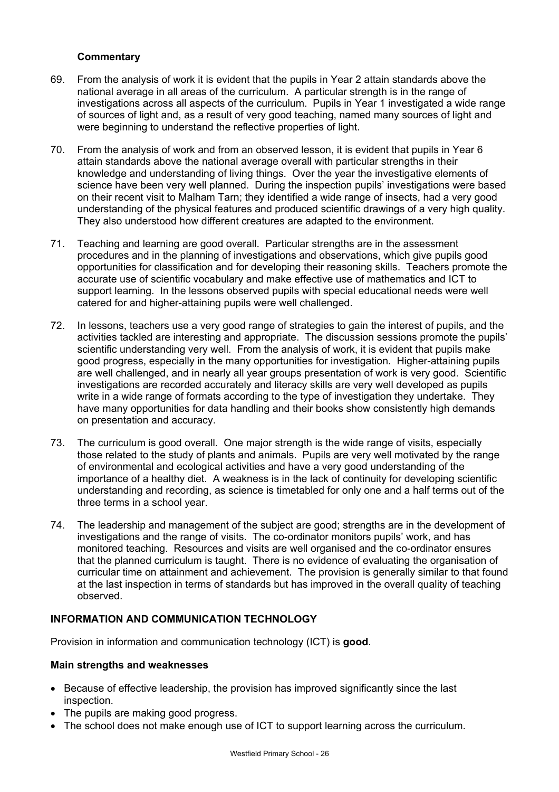# **Commentary**

- 69. From the analysis of work it is evident that the pupils in Year 2 attain standards above the national average in all areas of the curriculum. A particular strength is in the range of investigations across all aspects of the curriculum. Pupils in Year 1 investigated a wide range of sources of light and, as a result of very good teaching, named many sources of light and were beginning to understand the reflective properties of light.
- 70. From the analysis of work and from an observed lesson, it is evident that pupils in Year 6 attain standards above the national average overall with particular strengths in their knowledge and understanding of living things. Over the year the investigative elements of science have been very well planned. During the inspection pupils' investigations were based on their recent visit to Malham Tarn; they identified a wide range of insects, had a very good understanding of the physical features and produced scientific drawings of a very high quality. They also understood how different creatures are adapted to the environment.
- 71. Teaching and learning are good overall. Particular strengths are in the assessment procedures and in the planning of investigations and observations, which give pupils good opportunities for classification and for developing their reasoning skills. Teachers promote the accurate use of scientific vocabulary and make effective use of mathematics and ICT to support learning. In the lessons observed pupils with special educational needs were well catered for and higher-attaining pupils were well challenged.
- 72. In lessons, teachers use a very good range of strategies to gain the interest of pupils, and the activities tackled are interesting and appropriate. The discussion sessions promote the pupils' scientific understanding very well. From the analysis of work, it is evident that pupils make good progress, especially in the many opportunities for investigation. Higher-attaining pupils are well challenged, and in nearly all year groups presentation of work is very good. Scientific investigations are recorded accurately and literacy skills are very well developed as pupils write in a wide range of formats according to the type of investigation they undertake. They have many opportunities for data handling and their books show consistently high demands on presentation and accuracy.
- 73. The curriculum is good overall. One major strength is the wide range of visits, especially those related to the study of plants and animals. Pupils are very well motivated by the range of environmental and ecological activities and have a very good understanding of the importance of a healthy diet. A weakness is in the lack of continuity for developing scientific understanding and recording, as science is timetabled for only one and a half terms out of the three terms in a school year.
- 74. The leadership and management of the subject are good; strengths are in the development of investigations and the range of visits. The co-ordinator monitors pupils' work, and has monitored teaching. Resources and visits are well organised and the co-ordinator ensures that the planned curriculum is taught. There is no evidence of evaluating the organisation of curricular time on attainment and achievement. The provision is generally similar to that found at the last inspection in terms of standards but has improved in the overall quality of teaching observed.

# **INFORMATION AND COMMUNICATION TECHNOLOGY**

Provision in information and communication technology (ICT) is **good**.

# **Main strengths and weaknesses**

- Because of effective leadership, the provision has improved significantly since the last inspection.
- The pupils are making good progress.
- The school does not make enough use of ICT to support learning across the curriculum.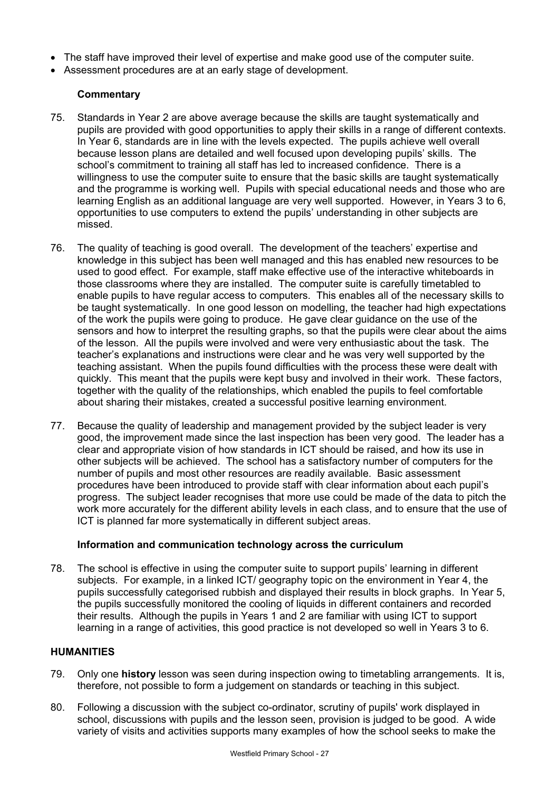- The staff have improved their level of expertise and make good use of the computer suite.
- Assessment procedures are at an early stage of development.

# **Commentary**

- 75. Standards in Year 2 are above average because the skills are taught systematically and pupils are provided with good opportunities to apply their skills in a range of different contexts. In Year 6, standards are in line with the levels expected. The pupils achieve well overall because lesson plans are detailed and well focused upon developing pupils' skills. The school's commitment to training all staff has led to increased confidence. There is a willingness to use the computer suite to ensure that the basic skills are taught systematically and the programme is working well. Pupils with special educational needs and those who are learning English as an additional language are very well supported. However, in Years 3 to 6, opportunities to use computers to extend the pupils' understanding in other subjects are missed.
- 76. The quality of teaching is good overall. The development of the teachers' expertise and knowledge in this subject has been well managed and this has enabled new resources to be used to good effect. For example, staff make effective use of the interactive whiteboards in those classrooms where they are installed. The computer suite is carefully timetabled to enable pupils to have regular access to computers. This enables all of the necessary skills to be taught systematically. In one good lesson on modelling, the teacher had high expectations of the work the pupils were going to produce. He gave clear guidance on the use of the sensors and how to interpret the resulting graphs, so that the pupils were clear about the aims of the lesson. All the pupils were involved and were very enthusiastic about the task. The teacher's explanations and instructions were clear and he was very well supported by the teaching assistant. When the pupils found difficulties with the process these were dealt with quickly. This meant that the pupils were kept busy and involved in their work. These factors, together with the quality of the relationships, which enabled the pupils to feel comfortable about sharing their mistakes, created a successful positive learning environment.
- 77. Because the quality of leadership and management provided by the subject leader is very good, the improvement made since the last inspection has been very good. The leader has a clear and appropriate vision of how standards in ICT should be raised, and how its use in other subjects will be achieved. The school has a satisfactory number of computers for the number of pupils and most other resources are readily available. Basic assessment procedures have been introduced to provide staff with clear information about each pupil's progress. The subject leader recognises that more use could be made of the data to pitch the work more accurately for the different ability levels in each class, and to ensure that the use of ICT is planned far more systematically in different subject areas.

# **Information and communication technology across the curriculum**

78. The school is effective in using the computer suite to support pupils' learning in different subjects. For example, in a linked ICT/ geography topic on the environment in Year 4, the pupils successfully categorised rubbish and displayed their results in block graphs. In Year 5, the pupils successfully monitored the cooling of liquids in different containers and recorded their results. Although the pupils in Years 1 and 2 are familiar with using ICT to support learning in a range of activities, this good practice is not developed so well in Years 3 to 6.

# **HUMANITIES**

- 79. Only one **history** lesson was seen during inspection owing to timetabling arrangements. It is, therefore, not possible to form a judgement on standards or teaching in this subject.
- 80. Following a discussion with the subject co-ordinator, scrutiny of pupils' work displayed in school, discussions with pupils and the lesson seen, provision is judged to be good. A wide variety of visits and activities supports many examples of how the school seeks to make the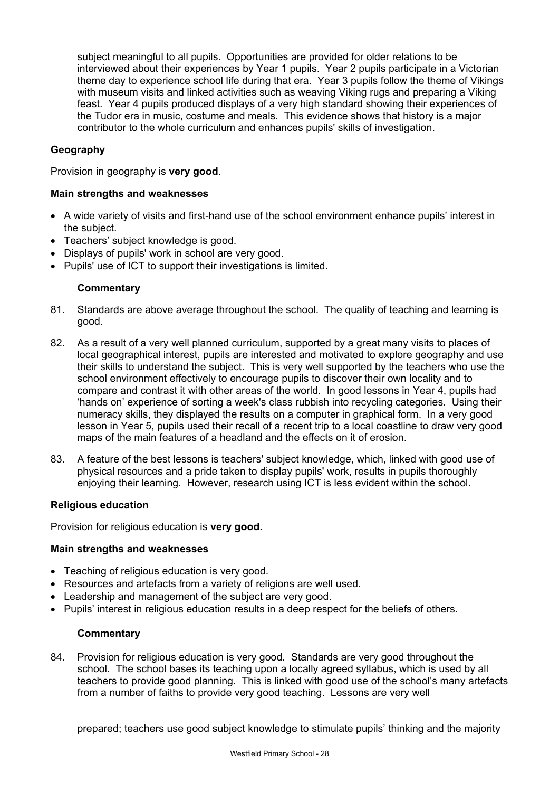subject meaningful to all pupils. Opportunities are provided for older relations to be interviewed about their experiences by Year 1 pupils. Year 2 pupils participate in a Victorian theme day to experience school life during that era. Year 3 pupils follow the theme of Vikings with museum visits and linked activities such as weaving Viking rugs and preparing a Viking feast. Year 4 pupils produced displays of a very high standard showing their experiences of the Tudor era in music, costume and meals. This evidence shows that history is a major contributor to the whole curriculum and enhances pupils' skills of investigation.

# **Geography**

Provision in geography is **very good**.

# **Main strengths and weaknesses**

- A wide variety of visits and first-hand use of the school environment enhance pupils' interest in the subject.
- Teachers' subject knowledge is good.
- Displays of pupils' work in school are very good.
- Pupils' use of ICT to support their investigations is limited.

# **Commentary**

- 81. Standards are above average throughout the school. The quality of teaching and learning is good.
- 82. As a result of a very well planned curriculum, supported by a great many visits to places of local geographical interest, pupils are interested and motivated to explore geography and use their skills to understand the subject. This is very well supported by the teachers who use the school environment effectively to encourage pupils to discover their own locality and to compare and contrast it with other areas of the world. In good lessons in Year 4, pupils had 'hands on' experience of sorting a week's class rubbish into recycling categories. Using their numeracy skills, they displayed the results on a computer in graphical form. In a very good lesson in Year 5, pupils used their recall of a recent trip to a local coastline to draw very good maps of the main features of a headland and the effects on it of erosion.
- 83. A feature of the best lessons is teachers' subject knowledge, which, linked with good use of physical resources and a pride taken to display pupils' work, results in pupils thoroughly enjoying their learning. However, research using ICT is less evident within the school.

# **Religious education**

Provision for religious education is **very good.**

#### **Main strengths and weaknesses**

- Teaching of religious education is very good.
- Resources and artefacts from a variety of religions are well used.
- Leadership and management of the subject are very good.
- Pupils' interest in religious education results in a deep respect for the beliefs of others.

# **Commentary**

84. Provision for religious education is very good. Standards are very good throughout the school. The school bases its teaching upon a locally agreed syllabus, which is used by all teachers to provide good planning. This is linked with good use of the school's many artefacts from a number of faiths to provide very good teaching. Lessons are very well

prepared; teachers use good subject knowledge to stimulate pupils' thinking and the majority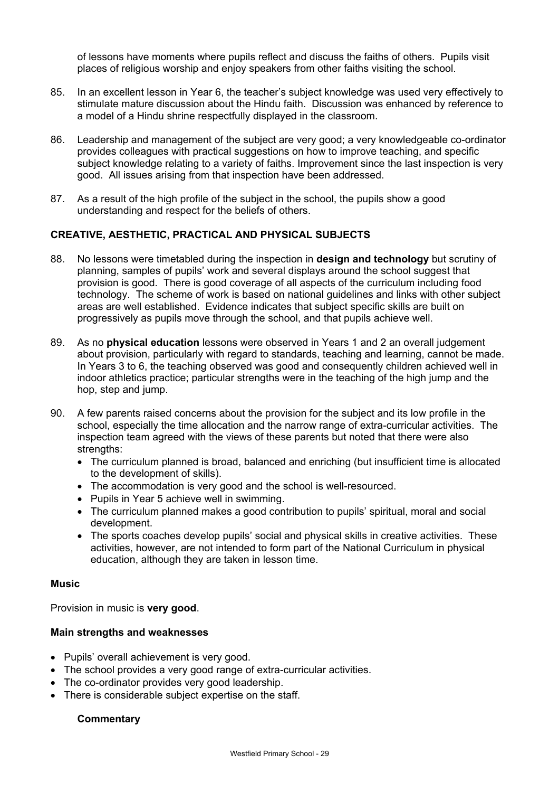of lessons have moments where pupils reflect and discuss the faiths of others. Pupils visit places of religious worship and enjoy speakers from other faiths visiting the school.

- 85. In an excellent lesson in Year 6, the teacher's subject knowledge was used very effectively to stimulate mature discussion about the Hindu faith. Discussion was enhanced by reference to a model of a Hindu shrine respectfully displayed in the classroom.
- 86. Leadership and management of the subject are very good; a very knowledgeable co-ordinator provides colleagues with practical suggestions on how to improve teaching, and specific subject knowledge relating to a variety of faiths. Improvement since the last inspection is very good. All issues arising from that inspection have been addressed.
- 87. As a result of the high profile of the subject in the school, the pupils show a good understanding and respect for the beliefs of others.

# **CREATIVE, AESTHETIC, PRACTICAL AND PHYSICAL SUBJECTS**

- 88. No lessons were timetabled during the inspection in **design and technology** but scrutiny of planning, samples of pupils' work and several displays around the school suggest that provision is good. There is good coverage of all aspects of the curriculum including food technology. The scheme of work is based on national guidelines and links with other subject areas are well established. Evidence indicates that subject specific skills are built on progressively as pupils move through the school, and that pupils achieve well.
- 89. As no **physical education** lessons were observed in Years 1 and 2 an overall judgement about provision, particularly with regard to standards, teaching and learning, cannot be made. In Years 3 to 6, the teaching observed was good and consequently children achieved well in indoor athletics practice; particular strengths were in the teaching of the high jump and the hop, step and jump.
- 90. A few parents raised concerns about the provision for the subject and its low profile in the school, especially the time allocation and the narrow range of extra-curricular activities. The inspection team agreed with the views of these parents but noted that there were also strengths:
	- The curriculum planned is broad, balanced and enriching (but insufficient time is allocated to the development of skills).
	- The accommodation is very good and the school is well-resourced.
	- Pupils in Year 5 achieve well in swimming.
	- The curriculum planned makes a good contribution to pupils' spiritual, moral and social development.
	- The sports coaches develop pupils' social and physical skills in creative activities. These activities, however, are not intended to form part of the National Curriculum in physical education, although they are taken in lesson time.

#### **Music**

Provision in music is **very good**.

# **Main strengths and weaknesses**

- Pupils' overall achievement is very good.
- The school provides a very good range of extra-curricular activities.
- The co-ordinator provides very good leadership.
- There is considerable subject expertise on the staff.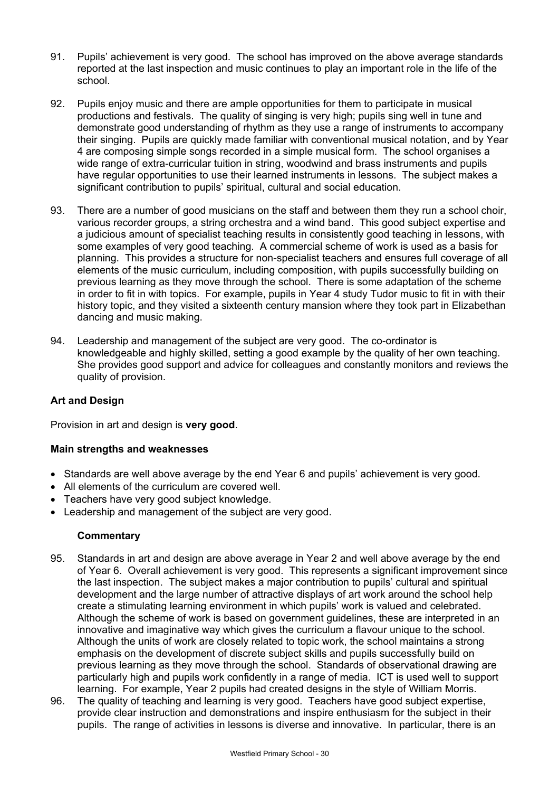- 91. Pupils' achievement is very good. The school has improved on the above average standards reported at the last inspection and music continues to play an important role in the life of the school.
- 92. Pupils enjoy music and there are ample opportunities for them to participate in musical productions and festivals. The quality of singing is very high; pupils sing well in tune and demonstrate good understanding of rhythm as they use a range of instruments to accompany their singing. Pupils are quickly made familiar with conventional musical notation, and by Year 4 are composing simple songs recorded in a simple musical form. The school organises a wide range of extra-curricular tuition in string, woodwind and brass instruments and pupils have regular opportunities to use their learned instruments in lessons. The subject makes a significant contribution to pupils' spiritual, cultural and social education.
- 93. There are a number of good musicians on the staff and between them they run a school choir, various recorder groups, a string orchestra and a wind band. This good subject expertise and a judicious amount of specialist teaching results in consistently good teaching in lessons, with some examples of very good teaching. A commercial scheme of work is used as a basis for planning. This provides a structure for non-specialist teachers and ensures full coverage of all elements of the music curriculum, including composition, with pupils successfully building on previous learning as they move through the school. There is some adaptation of the scheme in order to fit in with topics. For example, pupils in Year 4 study Tudor music to fit in with their history topic, and they visited a sixteenth century mansion where they took part in Elizabethan dancing and music making.
- 94. Leadership and management of the subject are very good. The co-ordinator is knowledgeable and highly skilled, setting a good example by the quality of her own teaching. She provides good support and advice for colleagues and constantly monitors and reviews the quality of provision.

# **Art and Design**

Provision in art and design is **very good**.

# **Main strengths and weaknesses**

- Standards are well above average by the end Year 6 and pupils' achievement is very good.
- All elements of the curriculum are covered well.
- Teachers have very good subject knowledge.
- Leadership and management of the subject are very good.

- 95. Standards in art and design are above average in Year 2 and well above average by the end of Year 6. Overall achievement is very good. This represents a significant improvement since the last inspection. The subject makes a major contribution to pupils' cultural and spiritual development and the large number of attractive displays of art work around the school help create a stimulating learning environment in which pupils' work is valued and celebrated. Although the scheme of work is based on government guidelines, these are interpreted in an innovative and imaginative way which gives the curriculum a flavour unique to the school. Although the units of work are closely related to topic work, the school maintains a strong emphasis on the development of discrete subject skills and pupils successfully build on previous learning as they move through the school. Standards of observational drawing are particularly high and pupils work confidently in a range of media. ICT is used well to support learning. For example, Year 2 pupils had created designs in the style of William Morris.
- 96. The quality of teaching and learning is very good. Teachers have good subject expertise, provide clear instruction and demonstrations and inspire enthusiasm for the subject in their pupils. The range of activities in lessons is diverse and innovative. In particular, there is an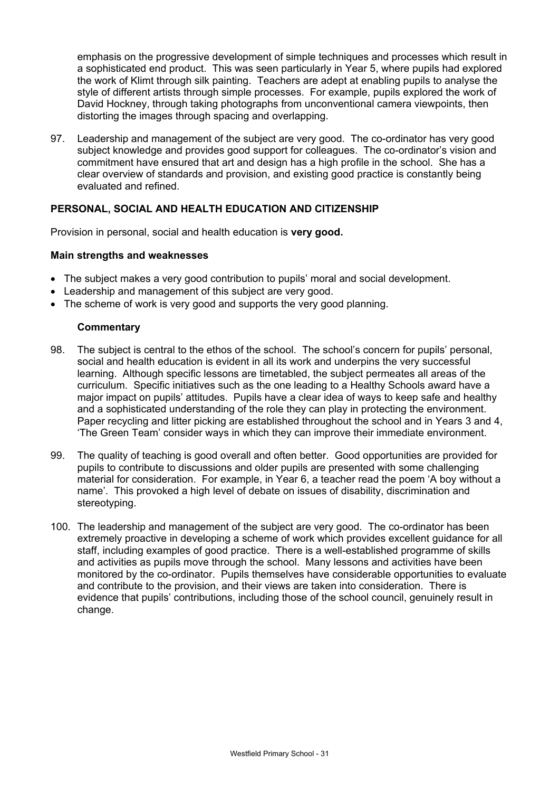emphasis on the progressive development of simple techniques and processes which result in a sophisticated end product. This was seen particularly in Year 5, where pupils had explored the work of Klimt through silk painting. Teachers are adept at enabling pupils to analyse the style of different artists through simple processes. For example, pupils explored the work of David Hockney, through taking photographs from unconventional camera viewpoints, then distorting the images through spacing and overlapping.

97. Leadership and management of the subject are very good. The co-ordinator has very good subject knowledge and provides good support for colleagues. The co-ordinator's vision and commitment have ensured that art and design has a high profile in the school. She has a clear overview of standards and provision, and existing good practice is constantly being evaluated and refined.

# **PERSONAL, SOCIAL AND HEALTH EDUCATION AND CITIZENSHIP**

Provision in personal, social and health education is **very good.** 

### **Main strengths and weaknesses**

- The subject makes a very good contribution to pupils' moral and social development.
- Leadership and management of this subject are very good.
- The scheme of work is very good and supports the very good planning.

- 98. The subject is central to the ethos of the school. The school's concern for pupils' personal, social and health education is evident in all its work and underpins the very successful learning. Although specific lessons are timetabled, the subject permeates all areas of the curriculum. Specific initiatives such as the one leading to a Healthy Schools award have a major impact on pupils' attitudes. Pupils have a clear idea of ways to keep safe and healthy and a sophisticated understanding of the role they can play in protecting the environment. Paper recycling and litter picking are established throughout the school and in Years 3 and 4, 'The Green Team' consider ways in which they can improve their immediate environment.
- 99. The quality of teaching is good overall and often better. Good opportunities are provided for pupils to contribute to discussions and older pupils are presented with some challenging material for consideration. For example, in Year 6, a teacher read the poem 'A boy without a name'. This provoked a high level of debate on issues of disability, discrimination and stereotyping.
- 100. The leadership and management of the subject are very good. The co-ordinator has been extremely proactive in developing a scheme of work which provides excellent guidance for all staff, including examples of good practice. There is a well-established programme of skills and activities as pupils move through the school. Many lessons and activities have been monitored by the co-ordinator. Pupils themselves have considerable opportunities to evaluate and contribute to the provision, and their views are taken into consideration. There is evidence that pupils' contributions, including those of the school council, genuinely result in change.